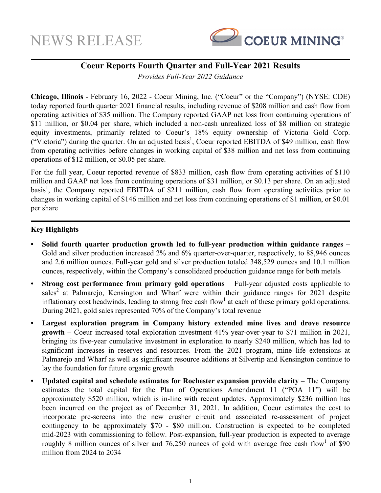

# **Coeur Reports Fourth Quarter and Full-Year 2021 Results**

*Provides Full-Year 2022 Guidance*

**Chicago, Illinois** - February 16, 2022 - Coeur Mining, Inc. ("Coeur" or the "Company") (NYSE: CDE) today reported fourth quarter 2021 financial results, including revenue of \$208 million and cash flow from operating activities of \$35 million. The Company reported GAAP net loss from continuing operations of \$11 million, or \$0.04 per share, which included a non-cash unrealized loss of \$8 million on strategic equity investments, primarily related to Coeur's 18% equity ownership of Victoria Gold Corp. ("Victoria") during the quarter. On an adjusted basis<sup>1</sup>, Coeur reported EBITDA of \$49 million, cash flow from operating activities before changes in working capital of \$38 million and net loss from continuing operations of \$12 million, or \$0.05 per share.

For the full year, Coeur reported revenue of \$833 million, cash flow from operating activities of \$110 million and GAAP net loss from continuing operations of \$31 million, or \$0.13 per share. On an adjusted basis<sup>1</sup>, the Company reported EBITDA of \$211 million, cash flow from operating activities prior to changes in working capital of \$146 million and net loss from continuing operations of \$1 million, or \$0.01 per share

## **Key Highlights**

- **• Solid fourth quarter production growth led to full-year production within guidance ranges**  Gold and silver production increased 2% and 6% quarter-over-quarter, respectively, to 88,946 ounces and 2.6 million ounces. Full-year gold and silver production totaled 348,529 ounces and 10.1 million ounces, respectively, within the Company's consolidated production guidance range for both metals
- **Strong cost performance from primary gold operations** Full-year adjusted costs applicable to sales<sup>2</sup> at Palmarejo, Kensington and Wharf were within their guidance ranges for 2021 despite inflationary cost headwinds, leading to strong free cash flow<sup>1</sup> at each of these primary gold operations. During 2021, gold sales represented 70% of the Company's total revenue
- **• Largest exploration program in Company history extended mine lives and drove resource growth** – Coeur increased total exploration investment 41% year-over-year to \$71 million in 2021, bringing its five-year cumulative investment in exploration to nearly \$240 million, which has led to significant increases in reserves and resources. From the 2021 program, mine life extensions at Palmarejo and Wharf as well as significant resource additions at Silvertip and Kensington continue to lay the foundation for future organic growth
- **• Updated capital and schedule estimates for Rochester expansion provide clarity**  The Company estimates the total capital for the Plan of Operations Amendment 11 ("POA 11") will be approximately \$520 million, which is in-line with recent updates. Approximately \$236 million has been incurred on the project as of December 31, 2021. In addition, Coeur estimates the cost to incorporate pre-screens into the new crusher circuit and associated re-assessment of project contingency to be approximately \$70 - \$80 million. Construction is expected to be completed mid-2023 with commissioning to follow. Post-expansion, full-year production is expected to average roughly 8 million ounces of silver and 76,250 ounces of gold with average free cash flow<sup>1</sup> of \$90 million from 2024 to 2034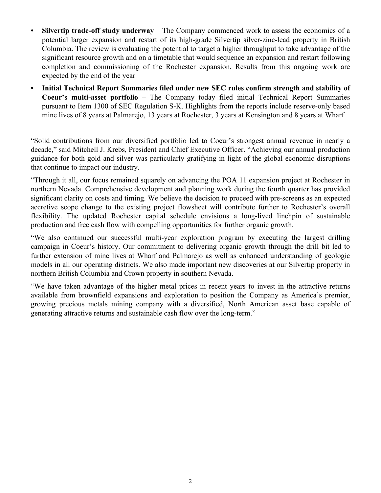- **• Silvertip trade-off study underway** The Company commenced work to assess the economics of a potential larger expansion and restart of its high-grade Silvertip silver-zinc-lead property in British Columbia. The review is evaluating the potential to target a higher throughput to take advantage of the significant resource growth and on a timetable that would sequence an expansion and restart following completion and commissioning of the Rochester expansion. Results from this ongoing work are expected by the end of the year
- **• Initial Technical Report Summaries filed under new SEC rules confirm strength and stability of Coeur's multi-asset portfolio** – The Company today filed initial Technical Report Summaries pursuant to Item 1300 of SEC Regulation S-K. Highlights from the reports include reserve-only based mine lives of 8 years at Palmarejo, 13 years at Rochester, 3 years at Kensington and 8 years at Wharf

"Solid contributions from our diversified portfolio led to Coeur's strongest annual revenue in nearly a decade," said Mitchell J. Krebs, President and Chief Executive Officer. "Achieving our annual production guidance for both gold and silver was particularly gratifying in light of the global economic disruptions that continue to impact our industry.

"Through it all, our focus remained squarely on advancing the POA 11 expansion project at Rochester in northern Nevada. Comprehensive development and planning work during the fourth quarter has provided significant clarity on costs and timing. We believe the decision to proceed with pre-screens as an expected accretive scope change to the existing project flowsheet will contribute further to Rochester's overall flexibility. The updated Rochester capital schedule envisions a long-lived linchpin of sustainable production and free cash flow with compelling opportunities for further organic growth.

"We also continued our successful multi-year exploration program by executing the largest drilling campaign in Coeur's history. Our commitment to delivering organic growth through the drill bit led to further extension of mine lives at Wharf and Palmarejo as well as enhanced understanding of geologic models in all our operating districts. We also made important new discoveries at our Silvertip property in northern British Columbia and Crown property in southern Nevada.

"We have taken advantage of the higher metal prices in recent years to invest in the attractive returns available from brownfield expansions and exploration to position the Company as America's premier, growing precious metals mining company with a diversified, North American asset base capable of generating attractive returns and sustainable cash flow over the long-term."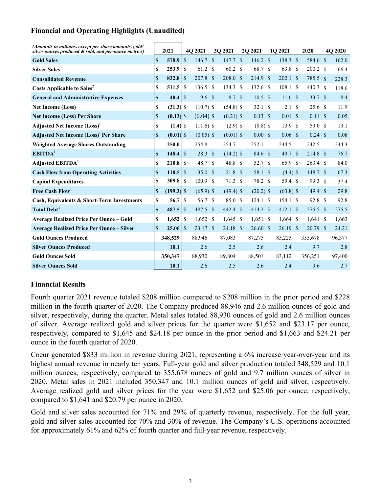## **Financial and Operating Highlights (Unaudited)**

| (Amounts in millions, except per share amounts, gold/<br>silver ounces produced & sold, and per-ounce metrics) |                    | 2021         |                | 4O 2021             | 30 2021             |      | 2Q 2021             | 1Q 2021             | 2020                        |               | 4O 2020 |
|----------------------------------------------------------------------------------------------------------------|--------------------|--------------|----------------|---------------------|---------------------|------|---------------------|---------------------|-----------------------------|---------------|---------|
| <b>Gold Sales</b>                                                                                              | S                  | 578.9        | <sup>\$</sup>  | $146.7 \text{ }$ \$ | 147.7 S             |      | $146.2 \text{ }$ \$ | 138.3 \$            | 584.6 \$                    |               | 162.0   |
| <b>Silver Sales</b>                                                                                            | S                  | 253.9        | $\vert \$      | 61.2 \$             | 60.2                | - \$ | 68.7 \$             | 63.8 \$             | 200.2 <sub>5</sub>          |               | 66.4    |
| <b>Consolidated Revenue</b>                                                                                    | \$                 | 832.8        | \$             | $207.8$ \$          | $208.0 \text{ }$ \$ |      | 214.9 <sup>°</sup>  | $202.1 \text{ }$ \$ | 785.5 <sub>§</sub>          |               | 228.3   |
| <b>Costs Applicable to Sales<sup>2</sup></b>                                                                   | S                  | 511.5        | S              | 136.5 \$            | 134.3               | -S   | $132.6$ \$          | 108.1 S             | 440.3 $\sqrt{s}$            |               | 118.6   |
| <b>General and Administrative Expenses</b>                                                                     | $\pmb{\mathbb{S}}$ | 40.4         | $\vert$ \$     | 9.6 <sup>°</sup>    | 8.7 \$              |      | $10.5 \text{ }$ \$  | 11.6 <sup>°</sup>   | 33.7 S                      |               | 8.4     |
| <b>Net Income (Loss)</b>                                                                                       | S                  |              |                | $(10.7)$ \$         | $(54.8)$ \$         |      | 32.1 S              | 2.1 <sup>5</sup>    | 25.6 <sup>°</sup>           |               | 11.9    |
| <b>Net Income (Loss) Per Share</b>                                                                             | \$                 |              |                | $(0.04)$ \$         | $(0.21)$ \$         |      | $0.13 \text{ }$ \$  | $0.01 \text{ S}$    | $0.11 \text{ \textdegree }$ |               | 0.05    |
| <b>Adjusted Net Income (Loss)</b> <sup>1</sup>                                                                 | S                  |              |                | $(11.6)$ \$         | $(2.9)$ \$          |      | $(0.8)$ \$          | 13.9 <sup>°</sup>   | 59.0 \$                     |               | 19.1    |
| <b>Adjusted Net Income (Loss)</b> Per Share                                                                    | $\mathbf S$        |              |                | $(0.05)$ \$         | $(0.01)$ \$         |      | $0.00 \text{ }$ \$  | 0.06 S              | $0.24 \text{ } $$           |               | 0.08    |
| <b>Weighted Average Shares Outstanding</b>                                                                     |                    | 250.0        |                | 254.8               | 254.7               |      | 252.1               | 244.5               | 242.5                       |               | 244.3   |
| EBITDA <sup>1</sup>                                                                                            | S                  | 148.4        | $\overline{1}$ | 28.3 <sup>°</sup>   | $(14.2)$ \$         |      | 84.6 \$             | 49.7 \$             | 214.8 \$                    |               | 76.7    |
| Adjusted EBITDA <sup>1</sup>                                                                                   | S                  | 210.8        | S              | 48.7 \$             | 48.8 \$             |      | 52.7 \$             | 65.9 \$             | $263.4$ \$                  |               | 84.0    |
| <b>Cash Flow from Operating Activities</b>                                                                     | \$                 | 110.5        | $\sqrt{3}$     | 35.0 <sup>°</sup>   | $21.8 \text{ }$ \$  |      | 58.1 \$             | $(4.4)$ \$          | 148.7 \$                    |               | 67.3    |
| <b>Capital Expenditures</b>                                                                                    | S                  |              |                | $100.9$ \$          | 71.3 \$             |      | 78.2 \$             | 59.4 \$             | 99.3                        | $\mathcal{S}$ | 37.4    |
| Free Cash Flow <sup>1</sup>                                                                                    | \$                 |              |                | $(65.9)$ \$         | $(49.4)$ \$         |      | $(20.2)$ \$         | $(63.8)$ \$         | $49.4$ \$                   |               | 29.8    |
| Cash, Equivalents & Short-Term Investments                                                                     | S                  | $56.7$ S     |                | 56.7 \$             | 85.0 \$             |      | 124.1 S             | 154.1 S             | 92.8 \$                     |               | 92.8    |
| Total Debt <sup>3</sup>                                                                                        | S                  | 487.5        | $\overline{1}$ | 487.5 \$            | 442.4 \$            |      | 414.2 $\sqrt{s}$    | 412.1 S             | 275.5 \$                    |               | 275.5   |
| <b>Average Realized Price Per Ounce - Gold</b>                                                                 | S                  | 1,652        | S              | $1,652$ \$          | $1,645$ \$          |      | $1,651$ \$          | $1,664$ \$          | $1,641$ \$                  |               | 1,663   |
| <b>Average Realized Price Per Ounce - Silver</b>                                                               | $\mathbf{s}$       | $25.06$   \$ |                | 23.17S              | $24.18$ \$          |      | $26.60~{\rm \AA}$   | $26.19$ \$          | $20.79$ \$                  |               | 24.21   |
| <b>Gold Ounces Produced</b>                                                                                    |                    | 348,529      |                | 88,946              | 87,083              |      | 87,275              | 85,225              | 355,678                     |               | 96,377  |
| <b>Silver Ounces Produced</b>                                                                                  |                    | 10.1         |                | 2.6                 | 2.5                 |      | 2.6                 | 2.4                 | 9.7                         |               | 2.8     |
| <b>Gold Ounces Sold</b>                                                                                        |                    | 350,347      |                | 88,930              | 89,804              |      | 88,501              | 83,112              | 356,251                     |               | 97,400  |
| <b>Silver Ounces Sold</b>                                                                                      |                    | 10.1         |                | 2.6                 | 2.5                 |      | 2.6                 | 2.4                 | 9.6                         |               | 2.7     |

### **Financial Results**

Fourth quarter 2021 revenue totaled \$208 million compared to \$208 million in the prior period and \$228 million in the fourth quarter of 2020. The Company produced 88,946 and 2.6 million ounces of gold and silver, respectively, during the quarter. Metal sales totaled 88,930 ounces of gold and 2.6 million ounces of silver. Average realized gold and silver prices for the quarter were \$1,652 and \$23.17 per ounce, respectively, compared to \$1,645 and \$24.18 per ounce in the prior period and \$1,663 and \$24.21 per ounce in the fourth quarter of 2020.

Coeur generated \$833 million in revenue during 2021, representing a 6% increase year-over-year and its highest annual revenue in nearly ten years. Full-year gold and silver production totaled 348,529 and 10.1 million ounces, respectively, compared to 355,678 ounces of gold and 9.7 million ounces of silver in 2020. Metal sales in 2021 included 350,347 and 10.1 million ounces of gold and silver, respectively. Average realized gold and silver prices for the year were \$1,652 and \$25.06 per ounce, respectively, compared to \$1,641 and \$20.79 per ounce in 2020.

Gold and silver sales accounted for 71% and 29% of quarterly revenue, respectively. For the full year, gold and silver sales accounted for 70% and 30% of revenue. The Company's U.S. operations accounted for approximately 61% and 62% of fourth quarter and full-year revenue, respectively.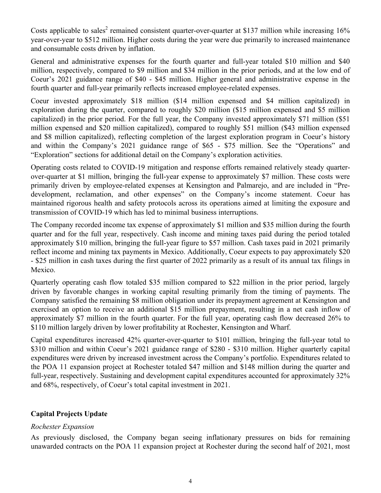Costs applicable to sales<sup>2</sup> remained consistent quarter-over-quarter at \$137 million while increasing  $16\%$ year-over-year to \$512 million. Higher costs during the year were due primarily to increased maintenance and consumable costs driven by inflation.

General and administrative expenses for the fourth quarter and full-year totaled \$10 million and \$40 million, respectively, compared to \$9 million and \$34 million in the prior periods, and at the low end of Coeur's 2021 guidance range of \$40 - \$45 million. Higher general and administrative expense in the fourth quarter and full-year primarily reflects increased employee-related expenses.

Coeur invested approximately \$18 million (\$14 million expensed and \$4 million capitalized) in exploration during the quarter, compared to roughly \$20 million (\$15 million expensed and \$5 million capitalized) in the prior period. For the full year, the Company invested approximately \$71 million (\$51 million expensed and \$20 million capitalized), compared to roughly \$51 million (\$43 million expensed and \$8 million capitalized), reflecting completion of the largest exploration program in Coeur's history and within the Company's 2021 guidance range of \$65 - \$75 million. See the "Operations" and "Exploration" sections for additional detail on the Company's exploration activities.

Operating costs related to COVID-19 mitigation and response efforts remained relatively steady quarterover-quarter at \$1 million, bringing the full-year expense to approximately \$7 million. These costs were primarily driven by employee-related expenses at Kensington and Palmarejo, and are included in "Predevelopment, reclamation, and other expenses" on the Company's income statement. Coeur has maintained rigorous health and safety protocols across its operations aimed at limiting the exposure and transmission of COVID-19 which has led to minimal business interruptions.

The Company recorded income tax expense of approximately \$1 million and \$35 million during the fourth quarter and for the full year, respectively. Cash income and mining taxes paid during the period totaled approximately \$10 million, bringing the full-year figure to \$57 million. Cash taxes paid in 2021 primarily reflect income and mining tax payments in Mexico. Additionally, Coeur expects to pay approximately \$20 - \$25 million in cash taxes during the first quarter of 2022 primarily as a result of its annual tax filings in Mexico.

Quarterly operating cash flow totaled \$35 million compared to \$22 million in the prior period, largely driven by favorable changes in working capital resulting primarily from the timing of payments. The Company satisfied the remaining \$8 million obligation under its prepayment agreement at Kensington and exercised an option to receive an additional \$15 million prepayment, resulting in a net cash inflow of approximately \$7 million in the fourth quarter. For the full year, operating cash flow decreased 26% to \$110 million largely driven by lower profitability at Rochester, Kensington and Wharf.

Capital expenditures increased 42% quarter-over-quarter to \$101 million, bringing the full-year total to \$310 million and within Coeur's 2021 guidance range of \$280 - \$310 million. Higher quarterly capital expenditures were driven by increased investment across the Company's portfolio. Expenditures related to the POA 11 expansion project at Rochester totaled \$47 million and \$148 million during the quarter and full-year, respectively. Sustaining and development capital expenditures accounted for approximately 32% and 68%, respectively, of Coeur's total capital investment in 2021.

### **Capital Projects Update**

### *Rochester Expansion*

As previously disclosed, the Company began seeing inflationary pressures on bids for remaining unawarded contracts on the POA 11 expansion project at Rochester during the second half of 2021, most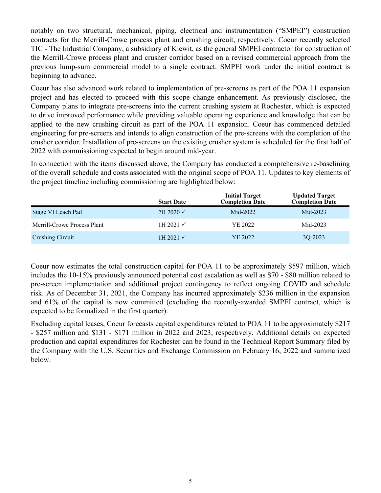notably on two structural, mechanical, piping, electrical and instrumentation ("SMPEI") construction contracts for the Merrill-Crowe process plant and crushing circuit, respectively. Coeur recently selected TIC - The Industrial Company, a subsidiary of Kiewit, as the general SMPEI contractor for construction of the Merrill-Crowe process plant and crusher corridor based on a revised commercial approach from the previous lump-sum commercial model to a single contract. SMPEI work under the initial contract is beginning to advance.

Coeur has also advanced work related to implementation of pre-screens as part of the POA 11 expansion project and has elected to proceed with this scope change enhancement. As previously disclosed, the Company plans to integrate pre-screens into the current crushing system at Rochester, which is expected to drive improved performance while providing valuable operating experience and knowledge that can be applied to the new crushing circuit as part of the POA 11 expansion. Coeur has commenced detailed engineering for pre-screens and intends to align construction of the pre-screens with the completion of the crusher corridor. Installation of pre-screens on the existing crusher system is scheduled for the first half of 2022 with commissioning expected to begin around mid-year.

In connection with the items discussed above, the Company has conducted a comprehensive re-baselining of the overall schedule and costs associated with the original scope of POA 11. Updates to key elements of the project timeline including commissioning are highlighted below:

|                             | <b>Start Date</b>    | <b>Initial Target</b><br><b>Completion Date</b> | <b>Updated Target</b><br><b>Completion Date</b> |
|-----------------------------|----------------------|-------------------------------------------------|-------------------------------------------------|
| Stage VI Leach Pad          | $2H 2020 \checkmark$ | $Mid-2022$                                      | Mid-2023                                        |
| Merrill-Crowe Process Plant | 1H 2021 $\checkmark$ | YE 2022                                         | $Mid-2023$                                      |
| <b>Crushing Circuit</b>     | 1H 2021 $\checkmark$ | YE 2022                                         | 3Q-2023                                         |

Coeur now estimates the total construction capital for POA 11 to be approximately \$597 million, which includes the 10-15% previously announced potential cost escalation as well as \$70 - \$80 million related to pre-screen implementation and additional project contingency to reflect ongoing COVID and schedule risk. As of December 31, 2021, the Company has incurred approximately \$236 million in the expansion and 61% of the capital is now committed (excluding the recently-awarded SMPEI contract, which is expected to be formalized in the first quarter).

Excluding capital leases, Coeur forecasts capital expenditures related to POA 11 to be approximately \$217 - \$257 million and \$131 - \$171 million in 2022 and 2023, respectively. Additional details on expected production and capital expenditures for Rochester can be found in the Technical Report Summary filed by the Company with the U.S. Securities and Exchange Commission on February 16, 2022 and summarized below.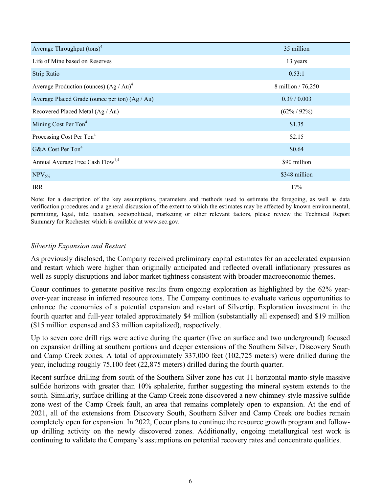| Average Throughput $(\text{tons})^4$           | 35 million         |
|------------------------------------------------|--------------------|
| Life of Mine based on Reserves                 | 13 years           |
| Strip Ratio                                    | 0.53:1             |
| Average Production (ounces) $(Ag/Au)^4$        | 8 million / 76,250 |
| Average Placed Grade (ounce per ton) (Ag / Au) | 0.39 / 0.003       |
| Recovered Placed Metal (Ag / Au)               | $(62\% / 92\%)$    |
| Mining Cost Per Ton <sup>4</sup>               | \$1.35             |
| Processing Cost Per Ton <sup>4</sup>           | \$2.15             |
| G&A Cost Per Ton <sup>4</sup>                  | \$0.64             |
| Annual Average Free Cash Flow <sup>1,4</sup>   | \$90 million       |
| $NPV_{5\%}$                                    | \$348 million      |
| <b>IRR</b>                                     | 17%                |

Note: for a description of the key assumptions, parameters and methods used to estimate the foregoing, as well as data verification procedures and a general discussion of the extent to which the estimates may be affected by known environmental, permitting, legal, title, taxation, sociopolitical, marketing or other relevant factors, please review the Technical Report Summary for Rochester which is available at www.sec.gov.

### *Silvertip Expansion and Restart*

As previously disclosed, the Company received preliminary capital estimates for an accelerated expansion and restart which were higher than originally anticipated and reflected overall inflationary pressures as well as supply disruptions and labor market tightness consistent with broader macroeconomic themes.

Coeur continues to generate positive results from ongoing exploration as highlighted by the 62% yearover-year increase in inferred resource tons. The Company continues to evaluate various opportunities to enhance the economics of a potential expansion and restart of Silvertip. Exploration investment in the fourth quarter and full-year totaled approximately \$4 million (substantially all expensed) and \$19 million (\$15 million expensed and \$3 million capitalized), respectively.

Up to seven core drill rigs were active during the quarter (five on surface and two underground) focused on expansion drilling at southern portions and deeper extensions of the Southern Silver, Discovery South and Camp Creek zones. A total of approximately 337,000 feet (102,725 meters) were drilled during the year, including roughly 75,100 feet (22,875 meters) drilled during the fourth quarter.

Recent surface drilling from south of the Southern Silver zone has cut 11 horizontal manto-style massive sulfide horizons with greater than 10% sphalerite, further suggesting the mineral system extends to the south. Similarly, surface drilling at the Camp Creek zone discovered a new chimney-style massive sulfide zone west of the Camp Creek fault, an area that remains completely open to expansion. At the end of 2021, all of the extensions from Discovery South, Southern Silver and Camp Creek ore bodies remain completely open for expansion. In 2022, Coeur plans to continue the resource growth program and followup drilling activity on the newly discovered zones. Additionally, ongoing metallurgical test work is continuing to validate the Company's assumptions on potential recovery rates and concentrate qualities.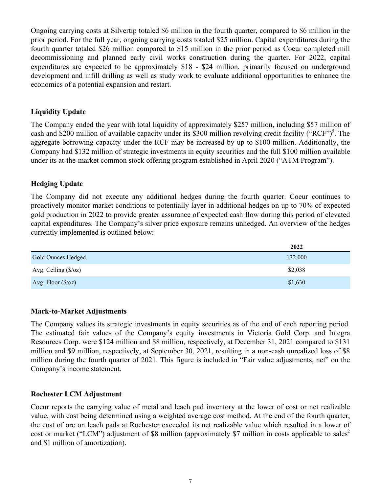Ongoing carrying costs at Silvertip totaled \$6 million in the fourth quarter, compared to \$6 million in the prior period. For the full year, ongoing carrying costs totaled \$25 million. Capital expenditures during the fourth quarter totaled \$26 million compared to \$15 million in the prior period as Coeur completed mill decommissioning and planned early civil works construction during the quarter. For 2022, capital expenditures are expected to be approximately \$18 - \$24 million, primarily focused on underground development and infill drilling as well as study work to evaluate additional opportunities to enhance the economics of a potential expansion and restart.

#### **Liquidity Update**

The Company ended the year with total liquidity of approximately \$257 million, including \$57 million of cash and \$200 million of available capacity under its \$300 million revolving credit facility ("RCF")<sup>5</sup>. The aggregate borrowing capacity under the RCF may be increased by up to \$100 million. Additionally, the Company had \$132 million of strategic investments in equity securities and the full \$100 million available under its at-the-market common stock offering program established in April 2020 ("ATM Program").

### **Hedging Update**

The Company did not execute any additional hedges during the fourth quarter. Coeur continues to proactively monitor market conditions to potentially layer in additional hedges on up to 70% of expected gold production in 2022 to provide greater assurance of expected cash flow during this period of elevated capital expenditures. The Company's silver price exposure remains unhedged. An overview of the hedges currently implemented is outlined below:

|                               | 2022    |
|-------------------------------|---------|
| Gold Ounces Hedged            | 132,000 |
| Avg. Ceiling $(\frac{s}{oz})$ | \$2,038 |
| Avg. Floor $(\frac{6}{oz})$   | \$1,630 |

#### **Mark-to-Market Adjustments**

The Company values its strategic investments in equity securities as of the end of each reporting period. The estimated fair values of the Company's equity investments in Victoria Gold Corp. and Integra Resources Corp. were \$124 million and \$8 million, respectively, at December 31, 2021 compared to \$131 million and \$9 million, respectively, at September 30, 2021, resulting in a non-cash unrealized loss of \$8 million during the fourth quarter of 2021. This figure is included in "Fair value adjustments, net" on the Company's income statement.

#### **Rochester LCM Adjustment**

Coeur reports the carrying value of metal and leach pad inventory at the lower of cost or net realizable value, with cost being determined using a weighted average cost method. At the end of the fourth quarter, the cost of ore on leach pads at Rochester exceeded its net realizable value which resulted in a lower of cost or market ("LCM") adjustment of \$8 million (approximately \$7 million in costs applicable to sales<sup>2</sup> and \$1 million of amortization).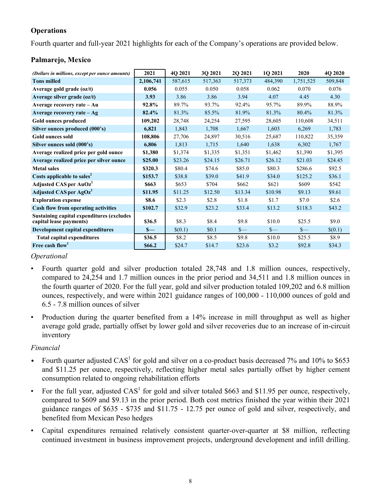## **Operations**

Fourth quarter and full-year 2021 highlights for each of the Company's operations are provided below.

## **Palmarejo, Mexico**

| (Dollars in millions, except per ounce amounts)                              | 2021      | 4O 2021 | 3Q 2021 | 2Q 2021 | <b>10 2021</b> | 2020      | 4Q 2020 |
|------------------------------------------------------------------------------|-----------|---------|---------|---------|----------------|-----------|---------|
| <b>Tons milled</b>                                                           | 2,106,741 | 587,615 | 517,363 | 517,373 | 484,390        | 1,751,525 | 509,848 |
| Average gold grade (oz/t)                                                    | 0.056     | 0.055   | 0.050   | 0.058   | 0.062          | 0.070     | 0.076   |
| Average silver grade (oz/t)                                                  | 3.93      | 3.86    | 3.86    | 3.94    | 4.07           | 4.45      | 4.30    |
| Average recovery rate – Au                                                   | 92.8%     | 89.7%   | 93.7%   | 92.4%   | 95.7%          | 89.9%     | 88.9%   |
| Average recovery rate $-Ag$                                                  | 82.4%     | 81.3%   | 85.5%   | 81.9%   | 81.3%          | 80.4%     | 81.3%   |
| Gold ounces produced                                                         | 109,202   | 28,748  | 24,254  | 27,595  | 28,605         | 110,608   | 34,511  |
| Silver ounces produced (000's)                                               | 6,821     | 1,843   | 1,708   | 1,667   | 1,603          | 6,269     | 1,783   |
| <b>Gold ounces sold</b>                                                      | 108,806   | 27,706  | 24,897  | 30,516  | 25,687         | 110,822   | 35,359  |
| Silver ounces sold (000's)                                                   | 6,806     | 1,813   | 1,715   | 1,640   | 1,638          | 6,302     | 1,767   |
| Average realized price per gold ounce                                        | \$1,380   | \$1,374 | \$1,335 | \$1,351 | \$1,462        | \$1,390   | \$1,395 |
| Average realized price per silver ounce                                      | \$25.00   | \$23.26 | \$24.15 | \$26.71 | \$26.12        | \$21.03   | \$24.45 |
| <b>Metal sales</b>                                                           | \$320.3   | \$80.4  | \$74.6  | \$85.0  | \$80.3         | \$286.6   | \$92.5  |
| Costs applicable to sales <sup>2</sup>                                       | \$153.7   | \$38.8  | \$39.0  | \$41.9  | \$34.0         | \$125.2   | \$36.1  |
| Adjusted CAS per AuOz <sup>1</sup>                                           | \$663     | \$653   | \$704   | \$662   | \$621          | \$609     | \$542   |
| Adjusted CAS per AgOz <sup>1</sup>                                           | \$11.95   | \$11.25 | \$12.50 | \$13.34 | \$10.98        | \$9.13    | \$9.61  |
| <b>Exploration expense</b>                                                   | \$8.6     | \$2.3   | \$2.8   | \$1.8   | \$1.7          | \$7.0     | \$2.6   |
| <b>Cash flow from operating activities</b>                                   | \$102.7   | \$32.9  | \$23.2  | \$33.4  | \$13.2         | \$118.3   | \$43.2  |
| <b>Sustaining capital expenditures (excludes)</b><br>capital lease payments) | \$36.5    | \$8.3   | \$8.4   | \$9.8   | \$10.0         | \$25.5    | \$9.0   |
| Development capital expenditures                                             | $S-$      | \$(0.1) | \$0.1   | $s-$    | $S-$           | $s-$      | \$(0.1) |
| <b>Total capital expenditures</b>                                            | \$36.5    | \$8.2   | \$8.5   | \$9.8   | \$10.0         | \$25.5    | \$8.9   |
| Free cash flow <sup>1</sup>                                                  | \$66.2    | \$24.7  | \$14.7  | \$23.6  | \$3.2          | \$92.8    | \$34.3  |

### *Operational*

- Fourth quarter gold and silver production totaled 28,748 and 1.8 million ounces, respectively, compared to 24,254 and 1.7 million ounces in the prior period and 34,511 and 1.8 million ounces in the fourth quarter of 2020. For the full year, gold and silver production totaled 109,202 and 6.8 million ounces, respectively, and were within 2021 guidance ranges of 100,000 - 110,000 ounces of gold and 6.5 - 7.8 million ounces of silver
- Production during the quarter benefited from a 14% increase in mill throughput as well as higher average gold grade, partially offset by lower gold and silver recoveries due to an increase of in-circuit inventory

## *Financial*

- Fourth quarter adjusted  $CAS<sup>1</sup>$  for gold and silver on a co-product basis decreased 7% and 10% to \$653 and \$11.25 per ounce, respectively, reflecting higher metal sales partially offset by higher cement consumption related to ongoing rehabilitation efforts
- For the full year, adjusted  $CAS<sup>1</sup>$  for gold and silver totaled \$663 and \$11.95 per ounce, respectively, compared to \$609 and \$9.13 in the prior period. Both cost metrics finished the year within their 2021 guidance ranges of \$635 - \$735 and \$11.75 - 12.75 per ounce of gold and silver, respectively, and benefited from Mexican Peso hedges
- Capital expenditures remained relatively consistent quarter-over-quarter at \$8 million, reflecting continued investment in business improvement projects, underground development and infill drilling.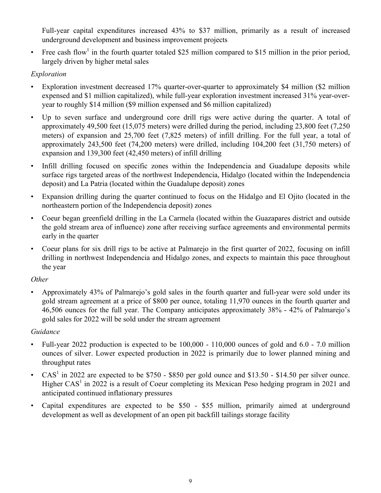Full-year capital expenditures increased 43% to \$37 million, primarily as a result of increased underground development and business improvement projects

• Free cash flow<sup>1</sup> in the fourth quarter totaled \$25 million compared to \$15 million in the prior period, largely driven by higher metal sales

## *Exploration*

- Exploration investment decreased 17% quarter-over-quarter to approximately \$4 million (\$2 million expensed and \$1 million capitalized), while full-year exploration investment increased 31% year-overyear to roughly \$14 million (\$9 million expensed and \$6 million capitalized)
- Up to seven surface and underground core drill rigs were active during the quarter. A total of approximately 49,500 feet (15,075 meters) were drilled during the period, including 23,800 feet (7,250 meters) of expansion and 25,700 feet (7,825 meters) of infill drilling. For the full year, a total of approximately 243,500 feet (74,200 meters) were drilled, including 104,200 feet (31,750 meters) of expansion and 139,300 feet (42,450 meters) of infill drilling
- Infill drilling focused on specific zones within the Independencia and Guadalupe deposits while surface rigs targeted areas of the northwest Independencia, Hidalgo (located within the Independencia deposit) and La Patria (located within the Guadalupe deposit) zones
- Expansion drilling during the quarter continued to focus on the Hidalgo and El Ojito (located in the northeastern portion of the Independencia deposit) zones
- Coeur began greenfield drilling in the La Carmela (located within the Guazapares district and outside the gold stream area of influence) zone after receiving surface agreements and environmental permits early in the quarter
- Coeur plans for six drill rigs to be active at Palmarejo in the first quarter of 2022, focusing on infill drilling in northwest Independencia and Hidalgo zones, and expects to maintain this pace throughout the year

## *Other*

• Approximately 43% of Palmarejo's gold sales in the fourth quarter and full-year were sold under its gold stream agreement at a price of \$800 per ounce, totaling 11,970 ounces in the fourth quarter and 46,506 ounces for the full year. The Company anticipates approximately 38% - 42% of Palmarejo's gold sales for 2022 will be sold under the stream agreement

## *Guidance*

- Full-year 2022 production is expected to be  $100,000 110,000$  ounces of gold and  $6.0 7.0$  million ounces of silver. Lower expected production in 2022 is primarily due to lower planned mining and throughput rates
- CAS<sup>1</sup> in 2022 are expected to be \$750 \$850 per gold ounce and \$13.50 \$14.50 per silver ounce. Higher  $CAS<sup>1</sup>$  in 2022 is a result of Coeur completing its Mexican Peso hedging program in 2021 and anticipated continued inflationary pressures
- Capital expenditures are expected to be \$50 \$55 million, primarily aimed at underground development as well as development of an open pit backfill tailings storage facility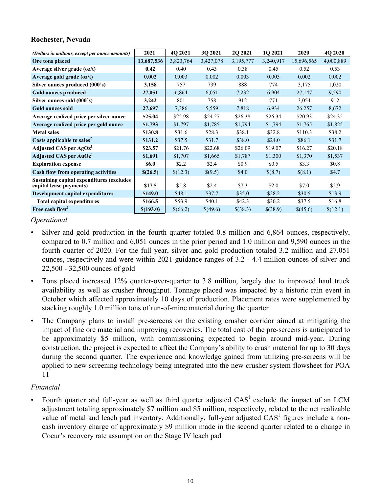#### **Rochester, Nevada**

| (Dollars in millions, except per ounce amounts)                             | 2021         | 4Q 2021   | 3Q 2021   | 2Q 2021   | 1Q 2021   | 2020       | 4Q 2020   |
|-----------------------------------------------------------------------------|--------------|-----------|-----------|-----------|-----------|------------|-----------|
| Ore tons placed                                                             | 13,687,536   | 3,823,764 | 3,427,078 | 3,195,777 | 3,240,917 | 15,696,565 | 4,000,889 |
| Average silver grade (oz/t)                                                 | 0.42         | 0.40      | 0.43      | 0.38      | 0.45      | 0.52       | 0.53      |
| Average gold grade $(oz/t)$                                                 | 0.002        | 0.003     | 0.002     | 0.003     | 0.003     | 0.002      | 0.002     |
| Silver ounces produced (000's)                                              | 3,158        | 757       | 739       | 888       | 774       | 3,175      | 1,020     |
| <b>Gold ounces produced</b>                                                 | 27,051       | 6,864     | 6,051     | 7,232     | 6,904     | 27,147     | 9,590     |
| Silver ounces sold (000's)                                                  | 3,242        | 801       | 758       | 912       | 771       | 3,054      | 912       |
| <b>Gold ounces sold</b>                                                     | 27,697       | 7,386     | 5,559     | 7,818     | 6,934     | 26,257     | 8,672     |
| Average realized price per silver ounce                                     | \$25.04      | \$22.98   | \$24.27   | \$26.38   | \$26.34   | \$20.93    | \$24.35   |
| Average realized price per gold ounce                                       | \$1,793      | \$1,797   | \$1,785   | \$1,794   | \$1,794   | \$1,765    | \$1,825   |
| <b>Metal sales</b>                                                          | \$130.8      | \$31.6    | \$28.3    | \$38.1    | \$32.8    | \$110.3    | \$38.2    |
| Costs applicable to sales <sup>2</sup>                                      | \$131.2      | \$37.5    | \$31.7    | \$38.0    | \$24.0    | \$86.1     | \$31.7    |
| Adjusted CAS per AgOz <sup>1</sup>                                          | \$23.57      | \$21.76   | \$22.68   | \$26.09   | \$19.07   | \$16.27    | \$20.18   |
| Adjusted CAS per AuOz <sup>1</sup>                                          | \$1,691      | \$1,707   | \$1,665   | \$1,787   | \$1,300   | \$1,370    | \$1,537   |
| <b>Exploration expense</b>                                                  | <b>\$6.0</b> | \$2.2     | \$2.4     | \$0.9     | \$0.5     | \$3.3      | \$0.8     |
| <b>Cash flow from operating activities</b>                                  | \$(26.5)     | \$(12.3)  | \$(9.5)   | \$4.0     | \$(8.7)   | \$(8.1)    | \$4.7     |
| <b>Sustaining capital expenditures (excludes</b><br>capital lease payments) | \$17.5       | \$5.8\$   | \$2.4     | \$7.3     | \$2.0     | \$7.0      | \$2.9     |
| Development capital expenditures                                            | \$149.0      | \$48.1    | \$37.7    | \$35.0    | \$28.2    | \$30.5     | \$13.9    |
| <b>Total capital expenditures</b>                                           | \$166.5      | \$53.9    | \$40.1    | \$42.3    | \$30.2    | \$37.5     | \$16.8    |
| Free cash flow <sup>1</sup>                                                 | \$(193.0)    | \$(66.2)  | \$(49.6)  | \$(38.3)  | \$(38.9)  | \$(45.6)   | \$(12.1)  |

*Operational* 

- Silver and gold production in the fourth quarter totaled 0.8 million and 6,864 ounces, respectively, compared to 0.7 million and 6,051 ounces in the prior period and 1.0 million and 9,590 ounces in the fourth quarter of 2020. For the full year, silver and gold production totaled 3.2 million and 27,051 ounces, respectively and were within 2021 guidance ranges of 3.2 - 4.4 million ounces of silver and 22,500 - 32,500 ounces of gold
- Tons placed increased 12% quarter-over-quarter to 3.8 million, largely due to improved haul truck availability as well as crusher throughput. Tonnage placed was impacted by a historic rain event in October which affected approximately 10 days of production. Placement rates were supplemented by stacking roughly 1.0 million tons of run-of-mine material during the quarter
- The Company plans to install pre-screens on the existing crusher corridor aimed at mitigating the impact of fine ore material and improving recoveries. The total cost of the pre-screens is anticipated to be approximately \$5 million, with commissioning expected to begin around mid-year. During construction, the project is expected to affect the Company's ability to crush material for up to 30 days during the second quarter. The experience and knowledge gained from utilizing pre-screens will be applied to new screening technology being integrated into the new crusher system flowsheet for POA 11

### *Financial*

Fourth quarter and full-year as well as third quarter adjusted  $CAS<sup>1</sup>$  exclude the impact of an LCM adjustment totaling approximately \$7 million and \$5 million, respectively, related to the net realizable value of metal and leach pad inventory. Additionally, full-year adjusted CAS<sup>1</sup> figures include a noncash inventory charge of approximately \$9 million made in the second quarter related to a change in Coeur's recovery rate assumption on the Stage IV leach pad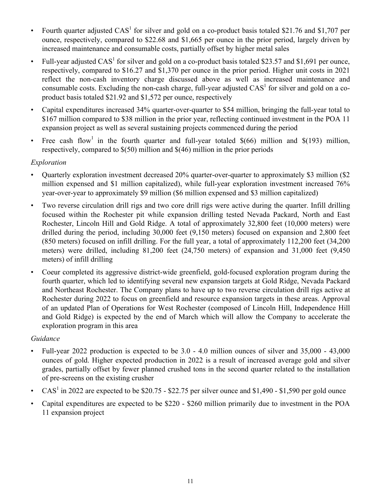- Fourth quarter adjusted  $CAS<sup>1</sup>$  for silver and gold on a co-product basis totaled \$21.76 and \$1,707 per ounce, respectively, compared to \$22.68 and \$1,665 per ounce in the prior period, largely driven by increased maintenance and consumable costs, partially offset by higher metal sales
- Full-year adjusted  $CAS<sup>1</sup>$  for silver and gold on a co-product basis totaled \$23.57 and \$1,691 per ounce, respectively, compared to \$16.27 and \$1,370 per ounce in the prior period. Higher unit costs in 2021 reflect the non-cash inventory charge discussed above as well as increased maintenance and consumable costs. Excluding the non-cash charge, full-year adjusted  $CAS<sup>1</sup>$  for silver and gold on a coproduct basis totaled \$21.92 and \$1,572 per ounce, respectively
- Capital expenditures increased 34% quarter-over-quarter to \$54 million, bringing the full-year total to \$167 million compared to \$38 million in the prior year, reflecting continued investment in the POA 11 expansion project as well as several sustaining projects commenced during the period
- Free cash flow<sup>1</sup> in the fourth quarter and full-year totaled  $\$(66)$  million and  $\$(193)$  million, respectively, compared to \$(50) million and \$(46) million in the prior periods

## *Exploration*

- Quarterly exploration investment decreased 20% quarter-over-quarter to approximately \$3 million (\$2 million expensed and \$1 million capitalized), while full-year exploration investment increased 76% year-over-year to approximately \$9 million (\$6 million expensed and \$3 million capitalized)
- Two reverse circulation drill rigs and two core drill rigs were active during the quarter. Infill drilling focused within the Rochester pit while expansion drilling tested Nevada Packard, North and East Rochester, Lincoln Hill and Gold Ridge. A total of approximately 32,800 feet (10,000 meters) were drilled during the period, including 30,000 feet (9,150 meters) focused on expansion and 2,800 feet (850 meters) focused on infill drilling. For the full year, a total of approximately 112,200 feet (34,200 meters) were drilled, including 81,200 feet (24,750 meters) of expansion and 31,000 feet (9,450 meters) of infill drilling
- Coeur completed its aggressive district-wide greenfield, gold-focused exploration program during the fourth quarter, which led to identifying several new expansion targets at Gold Ridge, Nevada Packard and Northeast Rochester. The Company plans to have up to two reverse circulation drill rigs active at Rochester during 2022 to focus on greenfield and resource expansion targets in these areas. Approval of an updated Plan of Operations for West Rochester (composed of Lincoln Hill, Independence Hill and Gold Ridge) is expected by the end of March which will allow the Company to accelerate the exploration program in this area

## *Guidance*

- Full-year 2022 production is expected to be 3.0 4.0 million ounces of silver and 35,000 43,000 ounces of gold. Higher expected production in 2022 is a result of increased average gold and silver grades, partially offset by fewer planned crushed tons in the second quarter related to the installation of pre-screens on the existing crusher
- CAS<sup>1</sup> in 2022 are expected to be \$20.75 \$22.75 per silver ounce and \$1,490 \$1,590 per gold ounce
- Capital expenditures are expected to be \$220 \$260 million primarily due to investment in the POA 11 expansion project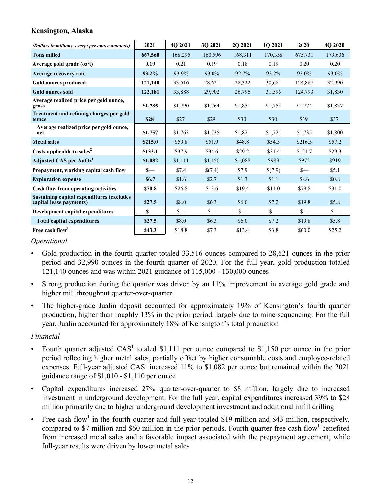## **Kensington, Alaska**

| (Dollars in millions, except per ounce amounts)                              | 2021    | 4Q 2021 | 30 2021 | 20 20 21 | 10 2021 | 2020    | 4Q 2020 |
|------------------------------------------------------------------------------|---------|---------|---------|----------|---------|---------|---------|
| <b>Tons milled</b>                                                           | 667,560 | 168,295 | 160,596 | 168,311  | 170,358 | 675,731 | 179,636 |
| Average gold grade $(oz/t)$                                                  | 0.19    | 0.21    | 0.19    | 0.18     | 0.19    | 0.20    | 0.20    |
| Average recovery rate                                                        | 93.2%   | 93.9%   | 93.0%   | 92.7%    | 93.2%   | 93.0%   | 93.0%   |
| Gold ounces produced                                                         | 121,140 | 33,516  | 28,621  | 28,322   | 30,681  | 124,867 | 32,990  |
| <b>Gold ounces sold</b>                                                      | 122,181 | 33,888  | 29,902  | 26,796   | 31,595  | 124,793 | 31,830  |
| Average realized price per gold ounce,<br>gross                              | \$1,785 | \$1,790 | \$1,764 | \$1,851  | \$1,754 | \$1,774 | \$1,837 |
| Treatment and refining charges per gold<br>ounce                             | \$28    | \$27    | \$29    | \$30     | \$30    | \$39    | \$37    |
| Average realized price per gold ounce,<br>net                                | \$1,757 | \$1,763 | \$1,735 | \$1,821  | \$1,724 | \$1,735 | \$1,800 |
| <b>Metal sales</b>                                                           | \$215.0 | \$59.8  | \$51.9  | \$48.8   | \$54.5  | \$216.5 | \$57.2  |
| Costs applicable to sales <sup>2</sup>                                       | \$133.1 | \$37.9  | \$34.6  | \$29.2   | \$31.4  | \$121.7 | \$29.3  |
| Adjusted CAS per AuOz <sup>1</sup>                                           | \$1,082 | \$1,111 | \$1,150 | \$1,088  | \$989   | \$972   | \$919   |
| Prepayment, working capital cash flow                                        | $S-$    | \$7.4   | \$(7.4) | \$7.9    | \$(7.9) | $S-$    | \$5.1   |
| <b>Exploration expense</b>                                                   | \$6.7   | \$1.6   | \$2.7   | \$1.3    | \$1.1   | \$8.6   | \$0.8\$ |
| Cash flow from operating activities                                          | \$70.8  | \$26.8  | \$13.6  | \$19.4   | \$11.0  | \$79.8  | \$31.0  |
| <b>Sustaining capital expenditures (excludes)</b><br>capital lease payments) | \$27.5  | \$8.0   | \$6.3\$ | \$6.0    | \$7.2   | \$19.8  | \$5.8   |
| Development capital expenditures                                             | $S-$    | $S-$    | $S-$    | $S-$     | $s-$    | $S-$    | \$—     |
| <b>Total capital expenditures</b>                                            | \$27.5  | \$8.0   | \$6.3\$ | \$6.0    | \$7.2   | \$19.8  | \$5.8   |
| Free cash flow <sup>1</sup>                                                  | \$43.3  | \$18.8  | \$7.3   | \$13.4   | \$3.8   | \$60.0  | \$25.2  |

#### *Operational*

- Gold production in the fourth quarter totaled 33,516 ounces compared to 28,621 ounces in the prior period and 32,990 ounces in the fourth quarter of 2020. For the full year, gold production totaled 121,140 ounces and was within 2021 guidance of 115,000 - 130,000 ounces
- Strong production during the quarter was driven by an 11% improvement in average gold grade and higher mill throughput quarter-over-quarter
- The higher-grade Jualin deposit accounted for approximately 19% of Kensington's fourth quarter production, higher than roughly 13% in the prior period, largely due to mine sequencing. For the full year, Jualin accounted for approximately 18% of Kensington's total production

### *Financial*

- Fourth quarter adjusted  $CAS<sup>1</sup>$  totaled \$1,111 per ounce compared to \$1,150 per ounce in the prior period reflecting higher metal sales, partially offset by higher consumable costs and employee-related expenses. Full-year adjusted  $CAS<sup>1</sup>$  increased 11% to \$1,082 per ounce but remained within the 2021 guidance range of \$1,010 - \$1,110 per ounce
- Capital expenditures increased 27% quarter-over-quarter to \$8 million, largely due to increased investment in underground development. For the full year, capital expenditures increased 39% to \$28 million primarily due to higher underground development investment and additional infill drilling
- Free cash flow<sup>1</sup> in the fourth quarter and full-year totaled \$19 million and \$43 million, respectively, compared to \$7 million and \$60 million in the prior periods. Fourth quarter free cash flow<sup>1</sup> benefited from increased metal sales and a favorable impact associated with the prepayment agreement, while full-year results were driven by lower metal sales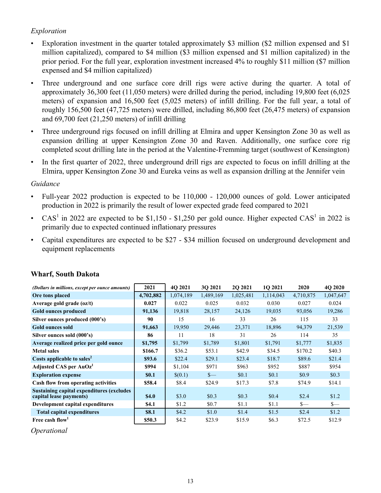## *Exploration*

- Exploration investment in the quarter totaled approximately \$3 million (\$2 million expensed and \$1 million capitalized), compared to \$4 million (\$3 million expensed and \$1 million capitalized) in the prior period. For the full year, exploration investment increased 4% to roughly \$11 million (\$7 million expensed and \$4 million capitalized)
- Three underground and one surface core drill rigs were active during the quarter. A total of approximately 36,300 feet (11,050 meters) were drilled during the period, including 19,800 feet (6,025 meters) of expansion and 16,500 feet (5,025 meters) of infill drilling. For the full year, a total of roughly 156,500 feet (47,725 meters) were drilled, including 86,800 feet (26,475 meters) of expansion and 69,700 feet (21,250 meters) of infill drilling
- Three underground rigs focused on infill drilling at Elmira and upper Kensington Zone 30 as well as expansion drilling at upper Kensington Zone 30 and Raven. Additionally, one surface core rig completed scout drilling late in the period at the Valentine-Fremming target (southwest of Kensington)
- In the first quarter of 2022, three underground drill rigs are expected to focus on infill drilling at the Elmira, upper Kensington Zone 30 and Eureka veins as well as expansion drilling at the Jennifer vein

## *Guidance*

- Full-year 2022 production is expected to be 110,000 120,000 ounces of gold. Lower anticipated production in 2022 is primarily the result of lower expected grade feed compared to 2021
- CAS<sup>1</sup> in 2022 are expected to be \$1,150 \$1,250 per gold ounce. Higher expected CAS<sup>1</sup> in 2022 is primarily due to expected continued inflationary pressures
- Capital expenditures are expected to be \$27 \$34 million focused on underground development and equipment replacements

| (Dollars in millions, except per ounce amounts)                              | 2021        | 4Q 2021   | 30 2021   | 2Q 2021   | 1Q 2021   | 2020      | 4Q 2020   |
|------------------------------------------------------------------------------|-------------|-----------|-----------|-----------|-----------|-----------|-----------|
| Ore tons placed                                                              | 4,702,882   | 1,074,189 | 1,489,169 | 1,025,481 | 1,114,043 | 4,710,875 | 1,047,647 |
| Average gold grade $(oz/t)$                                                  | 0.027       | 0.022     | 0.025     | 0.032     | 0.030     | 0.027     | 0.024     |
| Gold ounces produced                                                         | 91,136      | 19,818    | 28,157    | 24,126    | 19,035    | 93,056    | 19,286    |
| Silver ounces produced (000's)                                               | 90          | 15        | 16        | 33        | 26        | 115       | 33        |
| <b>Gold ounces sold</b>                                                      | 91,663      | 19,950    | 29,446    | 23,371    | 18,896    | 94,379    | 21,539    |
| Silver ounces sold (000's)                                                   | 86          | 11        | 18        | 31        | 26        | 114       | 35        |
| Average realized price per gold ounce                                        | \$1,795     | \$1,799   | \$1,789   | \$1,801   | \$1,791   | \$1,777   | \$1,835   |
| <b>Metal sales</b>                                                           | \$166.7     | \$36.2    | \$53.1    | \$42.9    | \$34.5    | \$170.2   | \$40.3    |
| Costs applicable to sales <sup>2</sup>                                       | \$93.6      | \$22.4    | \$29.1    | \$23.4    | \$18.7    | \$89.6    | \$21.4    |
| Adjusted CAS per AuOz <sup>1</sup>                                           | \$994       | \$1,104   | \$971     | \$963     | \$952     | \$887     | \$954     |
| <b>Exploration expense</b>                                                   | <b>SO.1</b> | \$(0.1)   | $S-$      | \$0.1     | \$0.1     | \$0.9     | \$0.3\$   |
| Cash flow from operating activities                                          | \$58.4      | \$8.4     | \$24.9    | \$17.3    | \$7.8     | \$74.9    | \$14.1    |
| <b>Sustaining capital expenditures (excludes)</b><br>capital lease payments) | \$4.0       | \$3.0     | \$0.3     | \$0.3     | \$0.4\$   | \$2.4     | \$1.2     |
| Development capital expenditures                                             | \$4.1       | \$1.2     | \$0.7     | \$1.1     | \$1.1     | $S-$      | $S-$      |
| <b>Total capital expenditures</b>                                            | \$8.1       | \$4.2     | \$1.0     | \$1.4     | \$1.5     | \$2.4     | \$1.2     |
| Free cash flow                                                               | \$50.3      | \$4.2     | \$23.9    | \$15.9    | \$6.3     | \$72.5    | \$12.9    |

## **Wharf, South Dakota**

*Operational*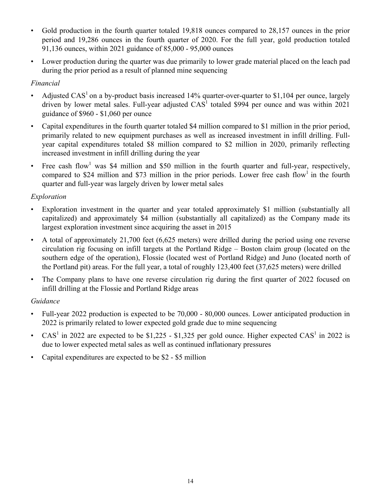- Gold production in the fourth quarter totaled 19,818 ounces compared to 28,157 ounces in the prior period and 19,286 ounces in the fourth quarter of 2020. For the full year, gold production totaled 91,136 ounces, within 2021 guidance of 85,000 - 95,000 ounces
- Lower production during the quarter was due primarily to lower grade material placed on the leach pad during the prior period as a result of planned mine sequencing

## *Financial*

- Adjusted CAS<sup>1</sup> on a by-product basis increased 14% quarter-over-quarter to \$1,104 per ounce, largely driven by lower metal sales. Full-year adjusted  $CAS<sup>1</sup>$  totaled \$994 per ounce and was within 2021 guidance of \$960 - \$1,060 per ounce
- Capital expenditures in the fourth quarter totaled \$4 million compared to \$1 million in the prior period, primarily related to new equipment purchases as well as increased investment in infill drilling. Fullyear capital expenditures totaled \$8 million compared to \$2 million in 2020, primarily reflecting increased investment in infill drilling during the year
- Free cash flow<sup>1</sup> was \$4 million and \$50 million in the fourth quarter and full-year, respectively, compared to \$24 million and \$73 million in the prior periods. Lower free cash flow<sup>1</sup> in the fourth quarter and full-year was largely driven by lower metal sales

## *Exploration*

- Exploration investment in the quarter and year totaled approximately \$1 million (substantially all capitalized) and approximately \$4 million (substantially all capitalized) as the Company made its largest exploration investment since acquiring the asset in 2015
- A total of approximately 21,700 feet (6,625 meters) were drilled during the period using one reverse circulation rig focusing on infill targets at the Portland Ridge – Boston claim group (located on the southern edge of the operation), Flossie (located west of Portland Ridge) and Juno (located north of the Portland pit) areas. For the full year, a total of roughly 123,400 feet (37,625 meters) were drilled
- The Company plans to have one reverse circulation rig during the first quarter of 2022 focused on infill drilling at the Flossie and Portland Ridge areas

## *Guidance*

- Full-year 2022 production is expected to be 70,000 80,000 ounces. Lower anticipated production in 2022 is primarily related to lower expected gold grade due to mine sequencing
- CAS<sup>1</sup> in 2022 are expected to be \$1,225 \$1,325 per gold ounce. Higher expected CAS<sup>1</sup> in 2022 is due to lower expected metal sales as well as continued inflationary pressures
- Capital expenditures are expected to be \$2 \$5 million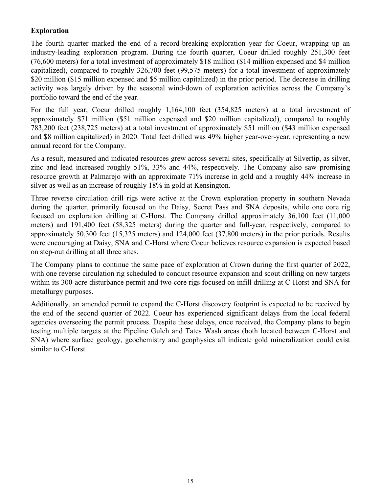## **Exploration**

The fourth quarter marked the end of a record-breaking exploration year for Coeur, wrapping up an industry-leading exploration program. During the fourth quarter, Coeur drilled roughly 251,300 feet (76,600 meters) for a total investment of approximately \$18 million (\$14 million expensed and \$4 million capitalized), compared to roughly 326,700 feet (99,575 meters) for a total investment of approximately \$20 million (\$15 million expensed and \$5 million capitalized) in the prior period. The decrease in drilling activity was largely driven by the seasonal wind-down of exploration activities across the Company's portfolio toward the end of the year.

For the full year, Coeur drilled roughly 1,164,100 feet (354,825 meters) at a total investment of approximately \$71 million (\$51 million expensed and \$20 million capitalized), compared to roughly 783,200 feet (238,725 meters) at a total investment of approximately \$51 million (\$43 million expensed and \$8 million capitalized) in 2020. Total feet drilled was 49% higher year-over-year, representing a new annual record for the Company.

As a result, measured and indicated resources grew across several sites, specifically at Silvertip, as silver, zinc and lead increased roughly 51%, 33% and 44%, respectively. The Company also saw promising resource growth at Palmarejo with an approximate 71% increase in gold and a roughly 44% increase in silver as well as an increase of roughly 18% in gold at Kensington.

Three reverse circulation drill rigs were active at the Crown exploration property in southern Nevada during the quarter, primarily focused on the Daisy, Secret Pass and SNA deposits, while one core rig focused on exploration drilling at C-Horst. The Company drilled approximately 36,100 feet (11,000 meters) and 191,400 feet (58,325 meters) during the quarter and full-year, respectively, compared to approximately 50,300 feet (15,325 meters) and 124,000 feet (37,800 meters) in the prior periods. Results were encouraging at Daisy, SNA and C-Horst where Coeur believes resource expansion is expected based on step-out drilling at all three sites.

The Company plans to continue the same pace of exploration at Crown during the first quarter of 2022, with one reverse circulation rig scheduled to conduct resource expansion and scout drilling on new targets within its 300-acre disturbance permit and two core rigs focused on infill drilling at C-Horst and SNA for metallurgy purposes.

Additionally, an amended permit to expand the C-Horst discovery footprint is expected to be received by the end of the second quarter of 2022. Coeur has experienced significant delays from the local federal agencies overseeing the permit process. Despite these delays, once received, the Company plans to begin testing multiple targets at the Pipeline Gulch and Tates Wash areas (both located between C-Horst and SNA) where surface geology, geochemistry and geophysics all indicate gold mineralization could exist similar to C-Horst.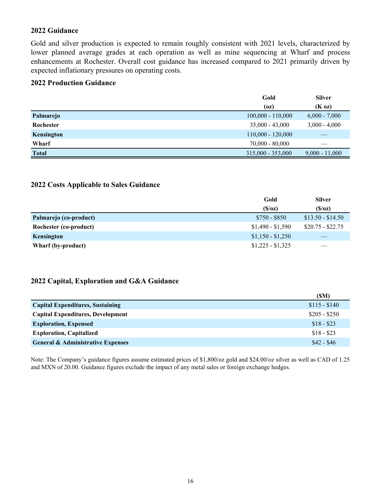#### **2022 Guidance**

Gold and silver production is expected to remain roughly consistent with 2021 levels, characterized by lower planned average grades at each operation as well as mine sequencing at Wharf and process enhancements at Rochester. Overall cost guidance has increased compared to 2021 primarily driven by expected inflationary pressures on operating costs.

### **2022 Production Guidance**

|              | Gold                | <b>Silver</b>    |
|--------------|---------------------|------------------|
|              | (oz)                | $(K \text{ oz})$ |
| Palmarejo    | $100,000 - 110,000$ | $6,000 - 7,000$  |
| Rochester    | $35,000 - 43,000$   | $3,000 - 4,000$  |
| Kensington   | $110,000 - 120,000$ |                  |
| Wharf        | $70,000 - 80,000$   |                  |
| <b>Total</b> | $315,000 - 353,000$ | $9,000 - 11,000$ |

#### **2022 Costs Applicable to Sales Guidance**

|                        | Gold              | <b>Silver</b>     |
|------------------------|-------------------|-------------------|
|                        | (S/Oz)            | (S/Oz)            |
| Palmarejo (co-product) | $$750 - $850$     | $$13.50 - $14.50$ |
| Rochester (co-product) | $$1,490 - $1,590$ | $$20.75 - $22.75$ |
| Kensington             | $$1,150 - $1,250$ |                   |
| Wharf (by-product)     | $$1,225 - $1,325$ |                   |

#### **2022 Capital, Exploration and G&A Guidance**

|                                              | (SM)          |
|----------------------------------------------|---------------|
| <b>Capital Expenditures, Sustaining</b>      | $$115 - $140$ |
| <b>Capital Expenditures, Development</b>     | $$205 - $250$ |
| <b>Exploration, Expensed</b>                 | $$18 - $23$   |
| <b>Exploration, Capitalized</b>              | $$18 - $23$   |
| <b>General &amp; Administrative Expenses</b> | $$42 - $46$   |

Note: The Company's guidance figures assume estimated prices of \$1,800/oz gold and \$24.00/oz silver as well as CAD of 1.25 and MXN of 20.00. Guidance figures exclude the impact of any metal sales or foreign exchange hedges.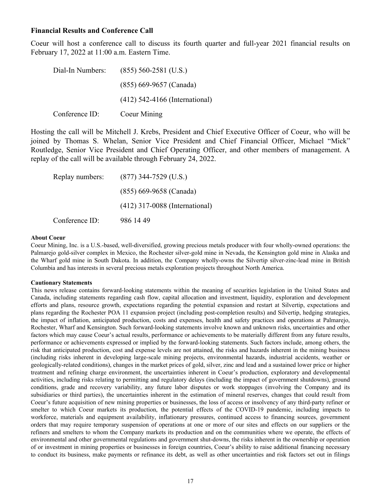#### **Financial Results and Conference Call**

Coeur will host a conference call to discuss its fourth quarter and full-year 2021 financial results on February 17, 2022 at 11:00 a.m. Eastern Time.

| Dial-In Numbers: | $(855)$ 560-2581 (U.S.)          |
|------------------|----------------------------------|
|                  | $(855)$ 669-9657 (Canada)        |
|                  | $(412)$ 542-4166 (International) |
| Conference ID:   | Coeur Mining                     |

Hosting the call will be Mitchell J. Krebs, President and Chief Executive Officer of Coeur, who will be joined by Thomas S. Whelan, Senior Vice President and Chief Financial Officer, Michael "Mick" Routledge, Senior Vice President and Chief Operating Officer, and other members of management. A replay of the call will be available through February 24, 2022.

| Replay numbers: | $(877)$ 344-7529 (U.S.)          |
|-----------------|----------------------------------|
|                 | (855) 669-9658 (Canada)          |
|                 | $(412)$ 317-0088 (International) |
| Conference ID:  | 986 14 49                        |

#### **About Coeur**

Coeur Mining, Inc. is a U.S.-based, well-diversified, growing precious metals producer with four wholly-owned operations: the Palmarejo gold-silver complex in Mexico, the Rochester silver-gold mine in Nevada, the Kensington gold mine in Alaska and the Wharf gold mine in South Dakota. In addition, the Company wholly-owns the Silvertip silver-zinc-lead mine in British Columbia and has interests in several precious metals exploration projects throughout North America.

#### **Cautionary Statements**

This news release contains forward-looking statements within the meaning of securities legislation in the United States and Canada, including statements regarding cash flow, capital allocation and investment, liquidity, exploration and development efforts and plans, resource growth, expectations regarding the potential expansion and restart at Silvertip, expectations and plans regarding the Rochester POA 11 expansion project (including post-completion results) and Silvertip, hedging strategies, the impact of inflation, anticipated production, costs and expenses, health and safety practices and operations at Palmarejo, Rochester, Wharf and Kensington. Such forward-looking statements involve known and unknown risks, uncertainties and other factors which may cause Coeur's actual results, performance or achievements to be materially different from any future results, performance or achievements expressed or implied by the forward-looking statements. Such factors include, among others, the risk that anticipated production, cost and expense levels are not attained, the risks and hazards inherent in the mining business (including risks inherent in developing large-scale mining projects, environmental hazards, industrial accidents, weather or geologically-related conditions), changes in the market prices of gold, silver, zinc and lead and a sustained lower price or higher treatment and refining charge environment, the uncertainties inherent in Coeur's production, exploratory and developmental activities, including risks relating to permitting and regulatory delays (including the impact of government shutdowns), ground conditions, grade and recovery variability, any future labor disputes or work stoppages (involving the Company and its subsidiaries or third parties), the uncertainties inherent in the estimation of mineral reserves, changes that could result from Coeur's future acquisition of new mining properties or businesses, the loss of access or insolvency of any third-party refiner or smelter to which Coeur markets its production, the potential effects of the COVID-19 pandemic, including impacts to workforce, materials and equipment availability, inflationary pressures, continued access to financing sources, government orders that may require temporary suspension of operations at one or more of our sites and effects on our suppliers or the refiners and smelters to whom the Company markets its production and on the communities where we operate, the effects of environmental and other governmental regulations and government shut-downs, the risks inherent in the ownership or operation of or investment in mining properties or businesses in foreign countries, Coeur's ability to raise additional financing necessary to conduct its business, make payments or refinance its debt, as well as other uncertainties and risk factors set out in filings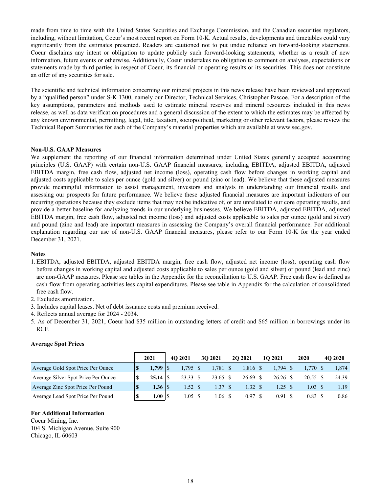made from time to time with the United States Securities and Exchange Commission, and the Canadian securities regulators, including, without limitation, Coeur's most recent report on Form 10-K. Actual results, developments and timetables could vary significantly from the estimates presented. Readers are cautioned not to put undue reliance on forward-looking statements. Coeur disclaims any intent or obligation to update publicly such forward-looking statements, whether as a result of new information, future events or otherwise. Additionally, Coeur undertakes no obligation to comment on analyses, expectations or statements made by third parties in respect of Coeur, its financial or operating results or its securities. This does not constitute an offer of any securities for sale.

The scientific and technical information concerning our mineral projects in this news release have been reviewed and approved by a "qualified person" under S-K 1300, namely our Director, Technical Services, Christopher Pascoe. For a description of the key assumptions, parameters and methods used to estimate mineral reserves and mineral resources included in this news release, as well as data verification procedures and a general discussion of the extent to which the estimates may be affected by any known environmental, permitting, legal, title, taxation, sociopolitical, marketing or other relevant factors, please review the Technical Report Summaries for each of the Company's material properties which are available at www.sec.gov.

#### **Non-U.S. GAAP Measures**

We supplement the reporting of our financial information determined under United States generally accepted accounting principles (U.S. GAAP) with certain non-U.S. GAAP financial measures, including EBITDA, adjusted EBITDA, adjusted EBITDA margin, free cash flow, adjusted net income (loss), operating cash flow before changes in working capital and adjusted costs applicable to sales per ounce (gold and silver) or pound (zinc or lead). We believe that these adjusted measures provide meaningful information to assist management, investors and analysts in understanding our financial results and assessing our prospects for future performance. We believe these adjusted financial measures are important indicators of our recurring operations because they exclude items that may not be indicative of, or are unrelated to our core operating results, and provide a better baseline for analyzing trends in our underlying businesses. We believe EBITDA, adjusted EBITDA, adjusted EBITDA margin, free cash flow, adjusted net income (loss) and adjusted costs applicable to sales per ounce (gold and silver) and pound (zinc and lead) are important measures in assessing the Company's overall financial performance. For additional explanation regarding our use of non-U.S. GAAP financial measures, please refer to our Form 10-K for the year ended December 31, 2021.

#### **Notes**

- 1. EBITDA, adjusted EBITDA, adjusted EBITDA margin, free cash flow, adjusted net income (loss), operating cash flow before changes in working capital and adjusted costs applicable to sales per ounce (gold and silver) or pound (lead and zinc) are non-GAAP measures. Please see tables in the Appendix for the reconciliation to U.S. GAAP. Free cash flow is defined as cash flow from operating activities less capital expenditures. Please see table in Appendix for the calculation of consolidated free cash flow.
- 2. Excludes amortization.
- 3. Includes capital leases. Net of debt issuance costs and premium received.
- 4. Reflects annual average for 2024 2034.
- 5. As of December 31, 2021, Coeur had \$35 million in outstanding letters of credit and \$65 million in borrowings under its RCF.

|                                     | 2021         | 4O 2021 |            | 30 2021    | <b>2O 2021</b> | 1O 2021    | 2020               | 4O 2020 |
|-------------------------------------|--------------|---------|------------|------------|----------------|------------|--------------------|---------|
| Average Gold Spot Price Per Ounce   | $1,799$   \$ |         | $1,795$ \$ | $1,781$ \$ | 1,816 \$       | $1.794$ \$ | 1.770 \$           | 1,874   |
| Average Silver Spot Price Per Ounce | $25.14$ S    |         | 23.33 \$   | 23.65 \$   | 26.69 \$       | 26.26 \$   | 20.55 \$           | 24.39   |
| Average Zinc Spot Price Per Pound   | $1.36$ S     |         | 1.52 S     | 1.37S      | 1.32S          | 1.25 S     | $1.03 \text{ }$ \$ | 1.19    |
| Average Lead Spot Price Per Pound   | 1.00 I \$    |         | 1.05 S     | 1.06 \$    | 0.97 \$        | 0.91       | 0.83               | 0.86    |

#### **Average Spot Prices**

#### **For Additional Information**

Coeur Mining, Inc. 104 S. Michigan Avenue, Suite 900 Chicago, IL 60603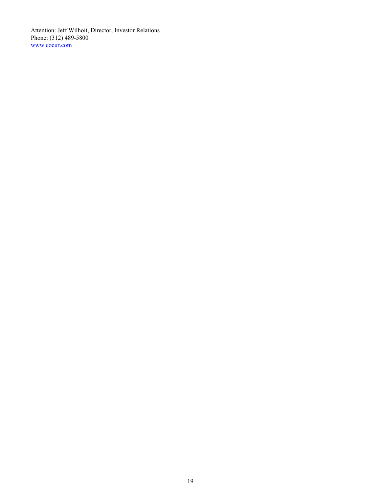Attention: Jeff Wilhoit, Director, Investor Relations Phone: (312) 489-5800 www.coeur.com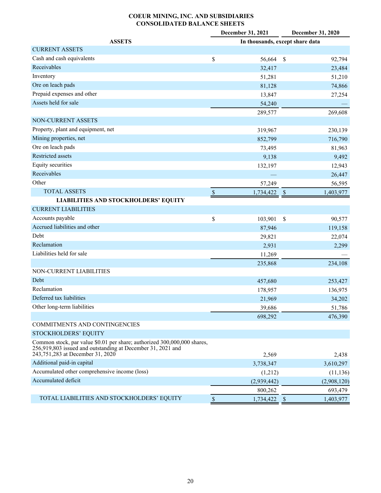#### **COEUR MINING, INC. AND SUBSIDIARIES CONSOLIDATED BALANCE SHEETS**

| In thousands, except share data<br><b>ASSETS</b><br><b>CURRENT ASSETS</b><br>Cash and cash equivalents<br>\$<br>56,664<br>\$<br>92,794<br>Receivables<br>32,417<br>23,484<br>Inventory<br>51,281<br>51,210<br>Ore on leach pads<br>74,866<br>81,128<br>Prepaid expenses and other<br>13,847<br>27,254<br>Assets held for sale<br>54,240<br>269,608<br>289,577<br>NON-CURRENT ASSETS<br>Property, plant and equipment, net<br>319,967<br>230,139<br>Mining properties, net<br>852,799<br>716,790<br>Ore on leach pads<br>73,495<br>81,963<br>Restricted assets<br>9,138<br>9,492<br><b>Equity securities</b><br>132,197<br>12,943<br>Receivables<br>26,447 |       | December 31, 2021<br>December 31, 2020 |        |  |        |  |  |  |
|-----------------------------------------------------------------------------------------------------------------------------------------------------------------------------------------------------------------------------------------------------------------------------------------------------------------------------------------------------------------------------------------------------------------------------------------------------------------------------------------------------------------------------------------------------------------------------------------------------------------------------------------------------------|-------|----------------------------------------|--------|--|--------|--|--|--|
|                                                                                                                                                                                                                                                                                                                                                                                                                                                                                                                                                                                                                                                           |       |                                        |        |  |        |  |  |  |
|                                                                                                                                                                                                                                                                                                                                                                                                                                                                                                                                                                                                                                                           |       |                                        |        |  |        |  |  |  |
|                                                                                                                                                                                                                                                                                                                                                                                                                                                                                                                                                                                                                                                           |       |                                        |        |  |        |  |  |  |
|                                                                                                                                                                                                                                                                                                                                                                                                                                                                                                                                                                                                                                                           |       |                                        |        |  |        |  |  |  |
|                                                                                                                                                                                                                                                                                                                                                                                                                                                                                                                                                                                                                                                           |       |                                        |        |  |        |  |  |  |
|                                                                                                                                                                                                                                                                                                                                                                                                                                                                                                                                                                                                                                                           |       |                                        |        |  |        |  |  |  |
|                                                                                                                                                                                                                                                                                                                                                                                                                                                                                                                                                                                                                                                           |       |                                        |        |  |        |  |  |  |
|                                                                                                                                                                                                                                                                                                                                                                                                                                                                                                                                                                                                                                                           |       |                                        |        |  |        |  |  |  |
|                                                                                                                                                                                                                                                                                                                                                                                                                                                                                                                                                                                                                                                           |       |                                        |        |  |        |  |  |  |
|                                                                                                                                                                                                                                                                                                                                                                                                                                                                                                                                                                                                                                                           |       |                                        |        |  |        |  |  |  |
|                                                                                                                                                                                                                                                                                                                                                                                                                                                                                                                                                                                                                                                           |       |                                        |        |  |        |  |  |  |
|                                                                                                                                                                                                                                                                                                                                                                                                                                                                                                                                                                                                                                                           |       |                                        |        |  |        |  |  |  |
|                                                                                                                                                                                                                                                                                                                                                                                                                                                                                                                                                                                                                                                           |       |                                        |        |  |        |  |  |  |
|                                                                                                                                                                                                                                                                                                                                                                                                                                                                                                                                                                                                                                                           |       |                                        |        |  |        |  |  |  |
|                                                                                                                                                                                                                                                                                                                                                                                                                                                                                                                                                                                                                                                           |       |                                        |        |  |        |  |  |  |
|                                                                                                                                                                                                                                                                                                                                                                                                                                                                                                                                                                                                                                                           |       |                                        |        |  |        |  |  |  |
|                                                                                                                                                                                                                                                                                                                                                                                                                                                                                                                                                                                                                                                           | Other |                                        | 57,249 |  | 56,595 |  |  |  |
| <b>TOTAL ASSETS</b><br>$\mathbb{S}$<br>1,734,422<br>$\mathbb{S}$<br>1,403,977                                                                                                                                                                                                                                                                                                                                                                                                                                                                                                                                                                             |       |                                        |        |  |        |  |  |  |
| <b>LIABILITIES AND STOCKHOLDERS' EQUITY</b>                                                                                                                                                                                                                                                                                                                                                                                                                                                                                                                                                                                                               |       |                                        |        |  |        |  |  |  |
| <b>CURRENT LIABILITIES</b>                                                                                                                                                                                                                                                                                                                                                                                                                                                                                                                                                                                                                                |       |                                        |        |  |        |  |  |  |
| Accounts payable<br>\$<br>\$<br>103,901<br>90,577                                                                                                                                                                                                                                                                                                                                                                                                                                                                                                                                                                                                         |       |                                        |        |  |        |  |  |  |
| Accrued liabilities and other<br>87,946<br>119,158                                                                                                                                                                                                                                                                                                                                                                                                                                                                                                                                                                                                        |       |                                        |        |  |        |  |  |  |
| Debt<br>29,821<br>22,074                                                                                                                                                                                                                                                                                                                                                                                                                                                                                                                                                                                                                                  |       |                                        |        |  |        |  |  |  |
| Reclamation<br>2,931<br>2,299                                                                                                                                                                                                                                                                                                                                                                                                                                                                                                                                                                                                                             |       |                                        |        |  |        |  |  |  |
| Liabilities held for sale<br>11,269                                                                                                                                                                                                                                                                                                                                                                                                                                                                                                                                                                                                                       |       |                                        |        |  |        |  |  |  |
| 234,108<br>235,868                                                                                                                                                                                                                                                                                                                                                                                                                                                                                                                                                                                                                                        |       |                                        |        |  |        |  |  |  |
| NON-CURRENT LIABILITIES                                                                                                                                                                                                                                                                                                                                                                                                                                                                                                                                                                                                                                   |       |                                        |        |  |        |  |  |  |
| Debt<br>253,427<br>457,680                                                                                                                                                                                                                                                                                                                                                                                                                                                                                                                                                                                                                                |       |                                        |        |  |        |  |  |  |
| Reclamation<br>178,957<br>136,975                                                                                                                                                                                                                                                                                                                                                                                                                                                                                                                                                                                                                         |       |                                        |        |  |        |  |  |  |
| Deferred tax liabilities<br>21,969<br>34,202                                                                                                                                                                                                                                                                                                                                                                                                                                                                                                                                                                                                              |       |                                        |        |  |        |  |  |  |
| Other long-term liabilities<br>39,686<br>51,786                                                                                                                                                                                                                                                                                                                                                                                                                                                                                                                                                                                                           |       |                                        |        |  |        |  |  |  |
| 698,292<br>476,390                                                                                                                                                                                                                                                                                                                                                                                                                                                                                                                                                                                                                                        |       |                                        |        |  |        |  |  |  |
| COMMITMENTS AND CONTINGENCIES                                                                                                                                                                                                                                                                                                                                                                                                                                                                                                                                                                                                                             |       |                                        |        |  |        |  |  |  |
| STOCKHOLDERS' EQUITY                                                                                                                                                                                                                                                                                                                                                                                                                                                                                                                                                                                                                                      |       |                                        |        |  |        |  |  |  |
| Common stock, par value \$0.01 per share; authorized 300,000,000 shares,<br>256,919,803 issued and outstanding at December 31, 2021 and<br>243,751,283 at December 31, 2020<br>2,569<br>2,438                                                                                                                                                                                                                                                                                                                                                                                                                                                             |       |                                        |        |  |        |  |  |  |
| Additional paid-in capital<br>3,738,347<br>3,610,297                                                                                                                                                                                                                                                                                                                                                                                                                                                                                                                                                                                                      |       |                                        |        |  |        |  |  |  |
| Accumulated other comprehensive income (loss)<br>(1,212)<br>(11, 136)                                                                                                                                                                                                                                                                                                                                                                                                                                                                                                                                                                                     |       |                                        |        |  |        |  |  |  |
| Accumulated deficit<br>(2,939,442)<br>(2,908,120)                                                                                                                                                                                                                                                                                                                                                                                                                                                                                                                                                                                                         |       |                                        |        |  |        |  |  |  |
| 800,262<br>693,479                                                                                                                                                                                                                                                                                                                                                                                                                                                                                                                                                                                                                                        |       |                                        |        |  |        |  |  |  |
| TOTAL LIABILITIES AND STOCKHOLDERS' EQUITY<br>$\$$<br>1,734,422<br>$\mathcal{S}$<br>1,403,977                                                                                                                                                                                                                                                                                                                                                                                                                                                                                                                                                             |       |                                        |        |  |        |  |  |  |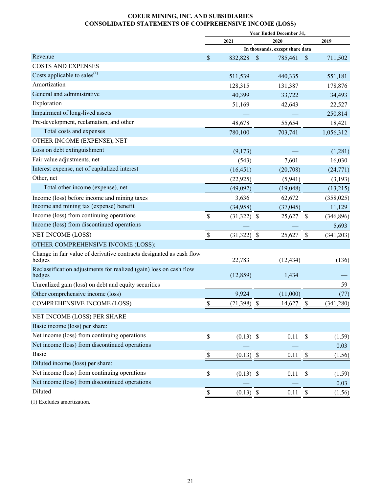#### **COEUR MINING, INC. AND SUBSIDIARIES CONSOLIDATED STATEMENTS OF COMPREHENSIVE INCOME (LOSS)**

|                                                                                |               | <b>Year Ended December 31,</b> |                                 |                           |            |  |  |  |
|--------------------------------------------------------------------------------|---------------|--------------------------------|---------------------------------|---------------------------|------------|--|--|--|
|                                                                                |               | 2021                           | 2020                            |                           | 2019       |  |  |  |
|                                                                                |               |                                | In thousands, except share data |                           |            |  |  |  |
| Revenue                                                                        | \$            | 832,828                        | \$<br>785,461                   | $\mathcal{S}$             | 711,502    |  |  |  |
| <b>COSTS AND EXPENSES</b>                                                      |               |                                |                                 |                           |            |  |  |  |
| Costs applicable to sales <sup>(1)</sup>                                       |               | 511,539                        | 440,335                         |                           | 551,181    |  |  |  |
| Amortization                                                                   |               | 128,315                        | 131,387                         |                           | 178,876    |  |  |  |
| General and administrative                                                     |               | 40,399                         | 33,722                          |                           | 34,493     |  |  |  |
| Exploration                                                                    |               | 51,169                         | 42,643                          |                           | 22,527     |  |  |  |
| Impairment of long-lived assets                                                |               |                                |                                 |                           | 250,814    |  |  |  |
| Pre-development, reclamation, and other                                        |               | 48,678                         | 55,654                          |                           | 18,421     |  |  |  |
| Total costs and expenses                                                       |               | 780,100                        | 703,741                         |                           | 1,056,312  |  |  |  |
| OTHER INCOME (EXPENSE), NET                                                    |               |                                |                                 |                           |            |  |  |  |
| Loss on debt extinguishment                                                    |               | (9,173)                        |                                 |                           | (1,281)    |  |  |  |
| Fair value adjustments, net                                                    |               | (543)                          | 7,601                           |                           | 16,030     |  |  |  |
| Interest expense, net of capitalized interest                                  |               | (16, 451)                      | (20,708)                        |                           | (24, 771)  |  |  |  |
| Other, net                                                                     |               | (22, 925)                      | (5,941)                         |                           | (3,193)    |  |  |  |
| Total other income (expense), net                                              |               | (49,092)                       | (19,048)                        |                           | (13,215)   |  |  |  |
| Income (loss) before income and mining taxes                                   |               | 3,636                          | 62,672                          |                           | (358, 025) |  |  |  |
| Income and mining tax (expense) benefit                                        |               | (34,958)                       | (37, 045)                       |                           | 11,129     |  |  |  |
| Income (loss) from continuing operations                                       | \$            | $(31,322)$ \$                  | 25,627                          | \$                        | (346, 896) |  |  |  |
| Income (loss) from discontinued operations                                     |               |                                |                                 |                           | 5,693      |  |  |  |
| NET INCOME (LOSS)                                                              | $\$$          | (31, 322)                      | \$<br>25,627                    | $\boldsymbol{\mathsf{S}}$ | (341, 203) |  |  |  |
| OTHER COMPREHENSIVE INCOME (LOSS):                                             |               |                                |                                 |                           |            |  |  |  |
| Change in fair value of derivative contracts designated as cash flow<br>hedges |               | 22,783                         | (12, 434)                       |                           | (136)      |  |  |  |
| Reclassification adjustments for realized (gain) loss on cash flow<br>hedges   |               | (12, 859)                      | 1,434                           |                           |            |  |  |  |
| Unrealized gain (loss) on debt and equity securities                           |               |                                |                                 |                           | 59         |  |  |  |
| Other comprehensive income (loss)                                              |               | 9,924                          | (11,000)                        |                           | (77)       |  |  |  |
| <b>COMPREHENSIVE INCOME (LOSS)</b>                                             | \$            | (21, 398)                      | \$<br>14,627                    | \$                        | (341, 280) |  |  |  |
| NET INCOME (LOSS) PER SHARE                                                    |               |                                |                                 |                           |            |  |  |  |
| Basic income (loss) per share:                                                 |               |                                |                                 |                           |            |  |  |  |
| Net income (loss) from continuing operations                                   | $\mathsf{\$}$ | $(0.13)$ \$                    | 0.11                            | $\boldsymbol{\mathsf{S}}$ | (1.59)     |  |  |  |
| Net income (loss) from discontinued operations                                 |               |                                |                                 |                           | 0.03       |  |  |  |
| <b>Basic</b>                                                                   | \$            | $(0.13)$ \$                    | 0.11                            | $\$$                      | (1.56)     |  |  |  |
| Diluted income (loss) per share:                                               |               |                                |                                 |                           |            |  |  |  |
| Net income (loss) from continuing operations                                   | $\$$          | $(0.13)$ \$                    | 0.11                            | \$                        | (1.59)     |  |  |  |
| Net income (loss) from discontinued operations                                 |               |                                |                                 |                           | 0.03       |  |  |  |
| Diluted                                                                        | \$            | $(0.13)$ \$                    | 0.11                            | \$                        | (1.56)     |  |  |  |
| (1) Excludes amortization.                                                     |               |                                |                                 |                           |            |  |  |  |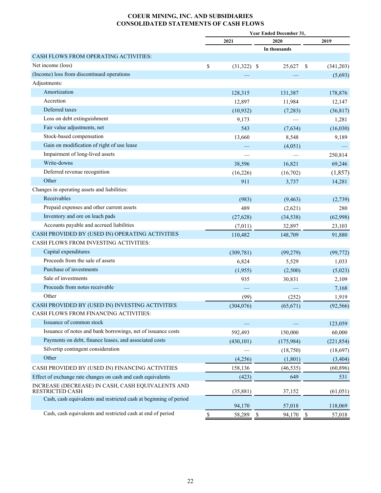#### **COEUR MINING, INC. AND SUBSIDIARIES CONSOLIDATED STATEMENTS OF CASH FLOWS**

|                                                                             |                     | <b>Year Ended December 31,</b> |               |            |
|-----------------------------------------------------------------------------|---------------------|--------------------------------|---------------|------------|
|                                                                             | 2021                | 2020                           |               | 2019       |
|                                                                             |                     | In thousands                   |               |            |
| CASH FLOWS FROM OPERATING ACTIVITIES:                                       |                     |                                |               |            |
| Net income (loss)                                                           | \$<br>$(31,322)$ \$ | 25,627                         | <sup>\$</sup> | (341,203)  |
| (Income) loss from discontinued operations                                  |                     |                                |               | (5,693)    |
| Adjustments:                                                                |                     |                                |               |            |
| Amortization                                                                | 128,315             | 131,387                        |               | 178,876    |
| Accretion                                                                   | 12,897              | 11,984                         |               | 12,147     |
| Deferred taxes                                                              | (10, 932)           | (7,283)                        |               | (36, 817)  |
| Loss on debt extinguishment                                                 | 9,173               |                                |               | 1,281      |
| Fair value adjustments, net                                                 | 543                 | (7,634)                        |               | (16,030)   |
| Stock-based compensation                                                    | 13,660              | 8,548                          |               | 9,189      |
| Gain on modification of right of use lease                                  |                     | (4,051)                        |               |            |
| Impairment of long-lived assets                                             |                     |                                |               | 250,814    |
| Write-downs                                                                 | 38,596              | 16,821                         |               | 69,246     |
| Deferred revenue recognition                                                | (16, 226)           | (16,702)                       |               | (1, 857)   |
| Other                                                                       | 911                 | 3,737                          |               | 14,281     |
| Changes in operating assets and liabilities:                                |                     |                                |               |            |
| Receivables                                                                 | (983)               | (9, 463)                       |               | (2,739)    |
| Prepaid expenses and other current assets                                   | 489                 | (2,621)                        |               | 280        |
| Inventory and ore on leach pads                                             | (27, 628)           | (34, 538)                      |               | (62,998)   |
| Accounts payable and accrued liabilities                                    | (7,011)             | 32,897                         |               | 23,103     |
| CASH PROVIDED BY (USED IN) OPERATING ACTIVITIES                             | 110,482             | 148,709                        |               | 91,880     |
| CASH FLOWS FROM INVESTING ACTIVITIES:                                       |                     |                                |               |            |
| Capital expenditures                                                        | (309, 781)          | (99,279)                       |               | (99, 772)  |
| Proceeds from the sale of assets                                            | 6,824               | 5,529                          |               | 1,033      |
| Purchase of investments                                                     | (1,955)             | (2,500)                        |               | (5,023)    |
| Sale of investments                                                         | 935                 | 30,831                         |               | 2,109      |
| Proceeds from notes receivable                                              |                     |                                |               | 7,168      |
| Other                                                                       | (99)                | (252)                          |               | 1,919      |
| CASH PROVIDED BY (USED IN) INVESTING ACTIVITIES                             | (304, 076)          | (65, 671)                      |               | (92, 566)  |
| CASH FLOWS FROM FINANCING ACTIVITIES:                                       |                     |                                |               |            |
| Issuance of common stock                                                    |                     |                                |               | 123,059    |
| Issuance of notes and bank borrowings, net of issuance costs                | 592,493             | 150,000                        |               | 60,000     |
| Payments on debt, finance leases, and associated costs                      | (430, 101)          | (175,984)                      |               | (221, 854) |
| Silvertip contingent consideration                                          |                     | (18,750)                       |               | (18,697)   |
| Other                                                                       | (4,256)             | (1, 801)                       |               | (3, 404)   |
| CASH PROVIDED BY (USED IN) FINANCING ACTIVITIES                             | 158,136             | (46, 535)                      |               | (60, 896)  |
| Effect of exchange rate changes on cash and cash equivalents                | (423)               | 649                            |               | 531        |
| INCREASE (DECREASE) IN CASH, CASH EQUIVALENTS AND<br><b>RESTRICTED CASH</b> | (35, 881)           | 37,152                         |               | (61, 051)  |
| Cash, cash equivalents and restricted cash at beginning of period           |                     |                                |               |            |
|                                                                             | 94,170              | 57,018                         |               | 118,069    |
| Cash, cash equivalents and restricted cash at end of period                 | \$<br>58,289        | $\mathbb{S}$<br>94,170         | $\mathcal{S}$ | 57,018     |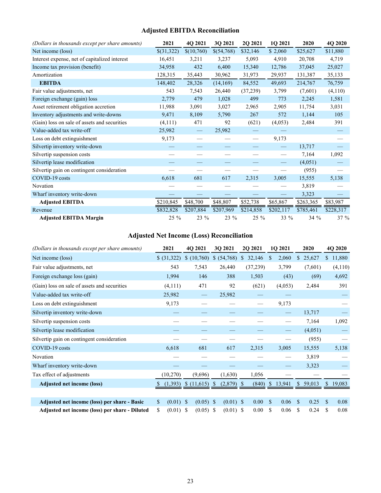## **Adjusted EBITDA Reconciliation**

| (Dollars in thousands except per share amounts) | 2021       | 4Q 2021    | 3Q 2021    | 2Q 2021   | 1Q 2021                        | 2020      | 4Q 2020   |
|-------------------------------------------------|------------|------------|------------|-----------|--------------------------------|-----------|-----------|
| Net income (loss)                               | \$(31,322) | \$(10,760) | \$(54,768) | \$32,146  | \$2,060                        | \$25,627  | \$11,880  |
| Interest expense, net of capitalized interest   | 16,451     | 3,211      | 3,237      | 5,093     | 4,910                          | 20,708    | 4,719     |
| Income tax provision (benefit)                  | 34,958     | 432        | 6,400      | 15,340    | 12,786                         | 37,045    | 25,027    |
| Amortization                                    | 128,315    | 35,443     | 30,962     | 31,973    | 29,937                         | 131,387   | 35,133    |
| <b>EBITDA</b>                                   | 148,402    | 28,326     | (14, 169)  | 84,552    | 49,693                         | 214,767   | 76,759    |
| Fair value adjustments, net                     | 543        | 7,543      | 26,440     | (37, 239) | 3,799                          | (7,601)   | (4, 110)  |
| Foreign exchange (gain) loss                    | 2,779      | 479        | 1,028      | 499       | 773                            | 2,245     | 1,581     |
| Asset retirement obligation accretion           | 11,988     | 3,091      | 3,027      | 2,965     | 2,905                          | 11,754    | 3,031     |
| Inventory adjustments and write-downs           | 9,471      | 8,109      | 5,790      | 267       | 572                            | 1,144     | 105       |
| (Gain) loss on sale of assets and securities    | (4, 111)   | 471        | 92         | (621)     | (4,053)                        | 2,484     | 391       |
| Value-added tax write-off                       | 25,982     |            | 25,982     |           |                                |           |           |
| Loss on debt extinguishment                     | 9,173      |            |            |           | 9,173                          |           |           |
| Silvertip inventory write-down                  |            |            |            |           | $\qquad \qquad \longleftarrow$ | 13,717    |           |
| Silvertip suspension costs                      |            |            |            |           |                                | 7,164     | 1,092     |
| Silvertip lease modification                    |            |            |            |           | $\qquad \qquad \longleftarrow$ | (4,051)   |           |
| Silvertip gain on contingent consideration      |            |            |            |           |                                | (955)     |           |
| COVID-19 costs                                  | 6,618      | 681        | 617        | 2,315     | 3,005                          | 15,555    | 5,138     |
| Novation                                        |            |            |            |           |                                | 3,819     |           |
| Wharf inventory write-down                      |            |            |            |           |                                | 3,323     |           |
| <b>Adjusted EBITDA</b>                          | \$210,845  | \$48,700   | \$48,807   | \$52,738  | \$65,867                       | \$263,365 | \$83,987  |
| Revenue                                         | \$832,828  | \$207,884  | \$207,969  | \$214,858 | \$202,117                      | \$785,461 | \$228,317 |
| <b>Adjusted EBITDA Margin</b>                   | $25\%$     | 23 %       | 23 %       | 25 %      | 33 %                           | 34 %      | 37 %      |

## **Adjusted Net Income (Loss) Reconciliation**

| (Dollars in thousands except per share amounts) | 2021              | 4Q 2021           | 30 2021                       | 2Q 2021    | 1Q 2021             | 2020                   | 4Q 2020                |
|-------------------------------------------------|-------------------|-------------------|-------------------------------|------------|---------------------|------------------------|------------------------|
| Net income (loss)                               | \$ (31,322)       | \$(10,760)        | \$ (54,768)                   | \$32,146   | 2,060<br>S.         | 25,627<br>$\mathbb{S}$ | $\mathbb{S}$<br>11,880 |
| Fair value adjustments, net                     | 543               | 7,543             | 26,440                        | (37,239)   | 3,799               | (7,601)                | (4,110)                |
| Foreign exchange loss (gain)                    | 1,994             | 146               | 388                           | 1,503      | (43)                | (69)                   | 4,692                  |
| (Gain) loss on sale of assets and securities    | (4, 111)          | 471               | 92                            | (621)      | (4,053)             | 2,484                  | 391                    |
| Value-added tax write-off                       | 25,982            |                   | 25,982                        |            |                     |                        |                        |
| Loss on debt extinguishment                     | 9,173             |                   |                               |            | 9,173               |                        |                        |
| Silvertip inventory write-down                  |                   |                   |                               |            |                     | 13,717                 |                        |
| Silvertip suspension costs                      |                   |                   |                               |            |                     | 7,164                  | 1,092                  |
| Silvertip lease modification                    |                   |                   |                               |            |                     | (4,051)                |                        |
| Silvertip gain on contingent consideration      |                   |                   |                               |            |                     | (955)                  |                        |
| COVID-19 costs                                  | 6,618             | 681               | 617                           | 2,315      | 3,005               | 15,555                 | 5,138                  |
| Novation                                        |                   |                   |                               |            |                     | 3,819                  |                        |
| Wharf inventory write-down                      |                   |                   |                               |            |                     | 3,323                  |                        |
| Tax effect of adjustments                       | (10, 270)         | (9,696)           | (1,630)                       | 1,056      |                     |                        |                        |
| <b>Adjusted net income (loss)</b>               | (1,393)           | \$(11,615)        | $(2,879)$ \$<br><sup>\$</sup> | $(840)$ \$ | 13,941              | \$59,013               | 19,083<br><sup>S</sup> |
|                                                 |                   |                   |                               |            |                     |                        |                        |
| Adjusted net income (loss) per share - Basic    | \$<br>$(0.01)$ \$ | $(0.05)$ \$       | $(0.01)$ \$                   | 0.00       | $\mathbf S$<br>0.06 | 0.25<br>$\mathbb{S}$   | $\mathbf S$<br>0.08    |
| Adjusted net income (loss) per share - Diluted  | \$<br>(0.01)      | \$<br>$(0.05)$ \$ | $(0.01)$ \$                   | 0.00       | \$<br>0.06          | \$<br>0.24             | \$<br>0.08             |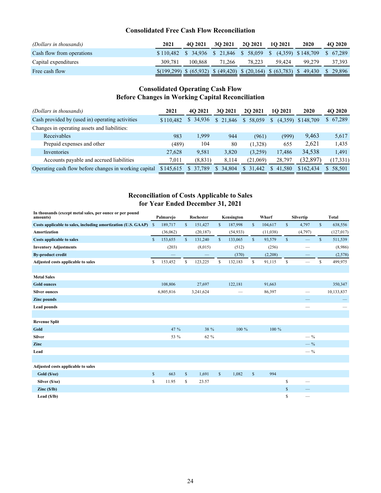#### **Consolidated Free Cash Flow Reconciliation**

| (Dollars in thousands)    | 2021    | 4O 2021 | <b>3O 2021</b> | <b>2O 2021</b> | <b>10 2021</b>                                                                                     | 2020   | 4O 2020 |
|---------------------------|---------|---------|----------------|----------------|----------------------------------------------------------------------------------------------------|--------|---------|
| Cash flow from operations |         |         |                |                | \$110,482 \$34,936 \$21,846 \$58,059 \$ (4,359) \$148,709 \$67,289                                 |        |         |
| Capital expenditures      | 309.781 | 100.868 | 71.266         | 78.223         | 59.424                                                                                             | 99.279 | 37,393  |
| Free cash flow            |         |         |                |                | $\{(199,299) \$ (65,932) \ \ $(49,420) \$ \ $(20,164) \$ \ $(63,783) \$ \ $(49,430 \)$ \ $(29,896$ |        |         |

### **Consolidated Operating Cash Flow Before Changes in Working Capital Reconciliation**

| (Dollars in thousands)                                | 2021      | 4O 2021   | <b>3O 2021</b> | <b>2O 2021</b> | 1O 2021      | 2020                | 4O 2020                 |
|-------------------------------------------------------|-----------|-----------|----------------|----------------|--------------|---------------------|-------------------------|
| Cash provided by (used in) operating activities       | \$110.482 | \$34,936  | \$21.846       | \$58,059       | S.           | $(4,359)$ \$148,709 | \$67,289                |
| Changes in operating assets and liabilities:          |           |           |                |                |              |                     |                         |
| Receivables                                           | 983       | 1.999     | 944            | (961)          | (999)        | 9,463               | 5,617                   |
| Prepaid expenses and other                            | (489)     | 104       | 80             | (1,328)        | 655          | 2.621               | 1.435                   |
| Inventories                                           | 27,628    | 9,581     | 3,820          | (3,259)        | 17.486       | 34,538              | 1.491                   |
| Accounts payable and accrued liabilities              | 7,011     | (8, 831)  | 8.114          | (21,069)       | 28,797       | (32, 897)           | (17, 331)               |
| Operating cash flow before changes in working capital | \$145,615 | \$ 37,789 | 34,804<br>S.   | \$31,442       | 41.580<br>S. | \$162,434           | 58.501<br><sup>\$</sup> |

### **Reconciliation of Costs Applicable to Sales for Year Ended December 31, 2021**

| In thousands (except metal sales, per ounce or per pound<br>amounts) |               | Palmarejo |              | Rochester |              | Kensington |              | Wharf    |              | Silvertip         |              | <b>Total</b> |
|----------------------------------------------------------------------|---------------|-----------|--------------|-----------|--------------|------------|--------------|----------|--------------|-------------------|--------------|--------------|
| Costs applicable to sales, including amortization (U.S. GAAP)        | <sup>\$</sup> | 189,717   | $\mathbb{S}$ | 151,427   | $\mathbb{S}$ | 187,998    | $\mathbb{S}$ | 104,617  | $\mathbb{S}$ | 4,797             | $\mathbb{S}$ | 638,556      |
| Amortization                                                         |               | (36,062)  |              | (20, 187) |              | (54, 933)  |              | (11,038) |              | (4,797)           |              | (127, 017)   |
| <b>Costs applicable to sales</b>                                     | $\mathbf{s}$  | 153,655   | $\mathbb{S}$ | 131,240   | $\mathbb{S}$ | 133,065    | $\mathbb{S}$ | 93,579   | $\mathbb{S}$ |                   | $\mathbb{S}$ | 511,539      |
| <b>Inventory Adjustments</b>                                         |               | (203)     |              | (8,015)   |              | (512)      |              | (256)    |              |                   |              | (8,986)      |
| <b>By-product credit</b>                                             |               |           |              |           |              | (370)      |              | (2,208)  |              |                   |              | (2,578)      |
| Adjusted costs applicable to sales                                   | \$            | 153,452   | \$           | 123,225   | \$           | 132,183    | \$           | 91,115   | \$           |                   | \$           | 499,975      |
|                                                                      |               |           |              |           |              |            |              |          |              |                   |              |              |
| <b>Metal Sales</b>                                                   |               |           |              |           |              |            |              |          |              |                   |              |              |
| <b>Gold ounces</b>                                                   |               | 108,806   |              | 27,697    |              | 122,181    |              | 91,663   |              |                   |              | 350,347      |
| <b>Silver ounces</b>                                                 |               | 6,805,816 |              | 3,241,624 |              |            |              | 86,397   |              |                   |              | 10,133,837   |
| <b>Zinc</b> pounds                                                   |               |           |              |           |              |            |              |          |              |                   |              |              |
| <b>Lead pounds</b>                                                   |               |           |              |           |              |            |              |          |              |                   |              |              |
|                                                                      |               |           |              |           |              |            |              |          |              |                   |              |              |
| <b>Revenue Split</b>                                                 |               |           |              |           |              |            |              |          |              |                   |              |              |
| Gold                                                                 |               | 47 %      |              | 38 %      |              | 100 %      |              | 100 %    |              |                   |              |              |
| <b>Silver</b>                                                        |               | 53 %      |              | 62 %      |              |            |              |          |              | $-$ %             |              |              |
| Zinc                                                                 |               |           |              |           |              |            |              |          |              | $-$ %             |              |              |
| Lead                                                                 |               |           |              |           |              |            |              |          |              | $-$ %             |              |              |
|                                                                      |               |           |              |           |              |            |              |          |              |                   |              |              |
| Adjusted costs applicable to sales                                   |               |           |              |           |              |            |              |          |              |                   |              |              |
| Gold(S/oz)                                                           | $\mathbb{S}$  | 663       | $\mathbb S$  | 1,691     | $\mathbb{S}$ | 1,082      | $\mathbb{S}$ | 994      |              |                   |              |              |
| Silver (\$/oz)                                                       | \$            | 11.95     | \$           | 23.57     |              |            |              |          | \$           | $\hspace{0.05cm}$ |              |              |
| $\text{Zinc}(\S/\text{lb})$                                          |               |           |              |           |              |            |              |          | \$           |                   |              |              |
| Lead $(S/lb)$                                                        |               |           |              |           |              |            |              |          | \$           |                   |              |              |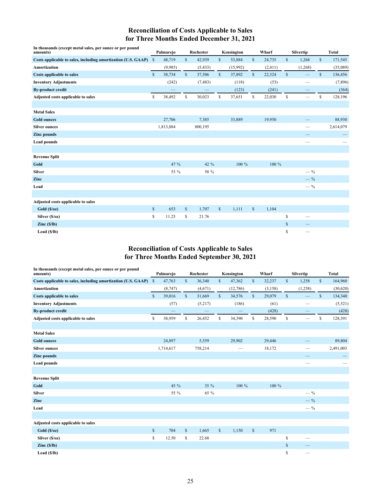## **Reconciliation of Costs Applicable to Sales for Three Months Ended December 31, 2021**

| In thousands (except metal sales, per ounce or per pound<br>amounts) |               | Palmarejo |              | Rochester |              | Kensington |              | Wharf   |              | Silvertip         |              | <b>Total</b> |
|----------------------------------------------------------------------|---------------|-----------|--------------|-----------|--------------|------------|--------------|---------|--------------|-------------------|--------------|--------------|
| Costs applicable to sales, including amortization (U.S. GAAP)        | $\mathcal{S}$ | 48,719    | $\mathbb{S}$ | 42,939    | \$           | 53,884     | $\mathbb{S}$ | 24,735  | $\mathbb{S}$ | 1,268             | $\mathbb{S}$ | 171,545      |
| <b>Amortization</b>                                                  |               | (9,985)   |              | (5, 433)  |              | (15,992)   |              | (2,411) |              | (1, 268)          |              | (35,089)     |
| <b>Costs applicable to sales</b>                                     | $\mathbb{S}$  | 38,734    | $\mathbb{S}$ | 37,506    | $\mathbb{S}$ | 37,892     | $\mathbb{S}$ | 22,324  | $\mathbb{S}$ |                   | $\mathbb{S}$ | 136,456      |
| <b>Inventory Adjustments</b>                                         |               | (242)     |              | (7, 483)  |              | (118)      |              | (53)    |              | -                 |              | (7,896)      |
| <b>By-product credit</b>                                             |               |           |              |           |              | (123)      |              | (241)   |              |                   |              | (364)        |
| Adjusted costs applicable to sales                                   | \$            | 38,492    | \$           | 30,023    | \$           | 37,651     | \$           | 22,030  | \$           | $\hspace{0.05cm}$ | \$           | 128,196      |
|                                                                      |               |           |              |           |              |            |              |         |              |                   |              |              |
| <b>Metal Sales</b>                                                   |               |           |              |           |              |            |              |         |              |                   |              |              |
| <b>Gold ounces</b>                                                   |               | 27,706    |              | 7,385     |              | 33,889     |              | 19,950  |              |                   |              | 88,930       |
| <b>Silver ounces</b>                                                 |               | 1,813,884 |              | 800,195   |              |            |              |         |              |                   |              | 2,614,079    |
| <b>Zinc</b> pounds                                                   |               |           |              |           |              |            |              |         |              |                   |              |              |
| <b>Lead pounds</b>                                                   |               |           |              |           |              |            |              |         |              |                   |              |              |
|                                                                      |               |           |              |           |              |            |              |         |              |                   |              |              |
| <b>Revenue Split</b>                                                 |               |           |              |           |              |            |              |         |              |                   |              |              |
| Gold                                                                 |               | 47 %      |              | 42 %      |              | 100 %      |              | 100 %   |              |                   |              |              |
| <b>Silver</b>                                                        |               | 53 %      |              | 58 %      |              |            |              |         |              | $-$ %             |              |              |
| Zinc                                                                 |               |           |              |           |              |            |              |         |              | $-$ %             |              |              |
| Lead                                                                 |               |           |              |           |              |            |              |         |              | $-$ %             |              |              |
|                                                                      |               |           |              |           |              |            |              |         |              |                   |              |              |
| Adjusted costs applicable to sales                                   |               |           |              |           |              |            |              |         |              |                   |              |              |
| Gold(S/oz)                                                           | $\mathbb S$   | 653       | $\mathbb S$  | 1,707     | $\mathbb{S}$ | 1,111      | $\mathbb{S}$ | 1,104   |              |                   |              |              |
| Silver (\$/oz)                                                       | \$            | 11.25     | \$           | 21.76     |              |            |              |         | \$           |                   |              |              |
| $\text{Zinc}(\frac{\mathsf{S}}{\mathsf{I}})\text{b}$                 |               |           |              |           |              |            |              |         | \$           |                   |              |              |
| Lead $(S/lb)$                                                        |               |           |              |           |              |            |              |         | \$           |                   |              |              |

#### **Reconciliation of Costs Applicable to Sales for Three Months Ended September 30, 2021**

| In thousands (except metal sales, per ounce or per pound<br>amounts) |               | Palmarejo |              | Rochester |              | Kensington |              | Wharf   |              | Silvertip                |              | <b>Total</b> |
|----------------------------------------------------------------------|---------------|-----------|--------------|-----------|--------------|------------|--------------|---------|--------------|--------------------------|--------------|--------------|
| Costs applicable to sales, including amortization (U.S. GAAP)        | $\mathcal{S}$ | 47,763    | \$           | 36,340    | \$           | 47,362     | \$           | 32,237  | \$           | 1,258                    | $\mathbb{S}$ | 164,960      |
| <b>Amortization</b>                                                  |               | (8,747)   |              | (4,671)   |              | (12,786)   |              | (3,158) |              | (1,258)                  |              | (30,620)     |
| <b>Costs applicable to sales</b>                                     | $\mathbb{S}$  | 39,016    | $\mathbb{S}$ | 31,669    | $\mathbb{S}$ | 34,576     | $\mathbb{S}$ | 29,079  | $\mathbb{S}$ | $\equiv$                 | $\mathbb{S}$ | 134,340      |
| <b>Inventory Adjustments</b>                                         |               | (57)      |              | (5,217)   |              | (186)      |              | (61)    |              | -                        |              | (5, 521)     |
| <b>By-product credit</b>                                             |               |           |              |           |              |            |              | (428)   |              |                          |              | (428)        |
| Adjusted costs applicable to sales                                   | \$            | 38,959    | \$           | 26,452    | \$           | 34,390     | \$           | 28,590  | \$           | $\overline{\phantom{a}}$ | \$           | 128,391      |
|                                                                      |               |           |              |           |              |            |              |         |              |                          |              |              |
| <b>Metal Sales</b>                                                   |               |           |              |           |              |            |              |         |              |                          |              |              |
| <b>Gold ounces</b>                                                   |               | 24,897    |              | 5,559     |              | 29,902     |              | 29,446  |              |                          |              | 89,804       |
| <b>Silver ounces</b>                                                 |               | 1,714,617 |              | 758,214   |              |            |              | 18,172  |              |                          |              | 2,491,003    |
| <b>Zinc</b> pounds                                                   |               |           |              |           |              |            |              |         |              |                          |              |              |
| <b>Lead pounds</b>                                                   |               |           |              |           |              |            |              |         |              |                          |              |              |
|                                                                      |               |           |              |           |              |            |              |         |              |                          |              |              |
| <b>Revenue Split</b>                                                 |               |           |              |           |              |            |              |         |              |                          |              |              |
| Gold                                                                 |               | 45 %      |              | 35 %      |              | 100 %      |              | 100 %   |              |                          |              |              |
| <b>Silver</b>                                                        |               | 55 %      |              | 65 %      |              |            |              |         |              | $-$ %                    |              |              |
| Zinc                                                                 |               |           |              |           |              |            |              |         |              | $-$ %                    |              |              |
| Lead                                                                 |               |           |              |           |              |            |              |         |              | $-$ %                    |              |              |
|                                                                      |               |           |              |           |              |            |              |         |              |                          |              |              |
| Adjusted costs applicable to sales                                   |               |           |              |           |              |            |              |         |              |                          |              |              |
| Gold(S/oz)                                                           | $\mathbb{S}$  | 704       | $\mathbb{S}$ | 1,665     | $\mathbb{S}$ | 1,150      | $\mathbb{S}$ | 971     |              |                          |              |              |
| Silver (\$/oz)                                                       | \$            | 12.50     | \$           | 22.68     |              |            |              |         | \$           | $\overline{\phantom{0}}$ |              |              |
| $\text{Zinc}(\frac{\mathsf{S}}{\mathsf{I}})\text{b}$                 |               |           |              |           |              |            |              |         | \$           |                          |              |              |
| Lead $(S/Ib)$                                                        |               |           |              |           |              |            |              |         | \$           |                          |              |              |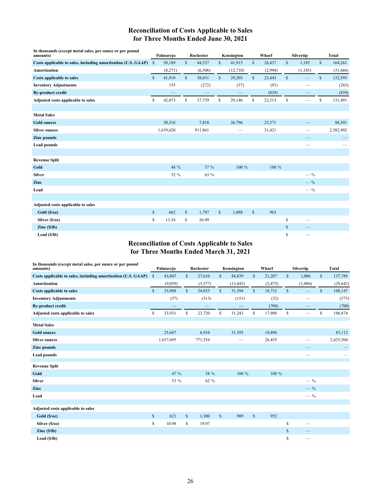## **Reconciliation of Costs Applicable to Sales for Three Months Ended June 30, 2021**

| In thousands (except metal sales, per ounce or per pound<br>amounts) | Palmarejo    |           | Rochester    |         |              | Kensington        |              | Wharf   | <b>Silvertip</b>               |              | <b>Total</b> |
|----------------------------------------------------------------------|--------------|-----------|--------------|---------|--------------|-------------------|--------------|---------|--------------------------------|--------------|--------------|
| Costs applicable to sales, including amortization (U.S. GAAP) \$     |              | 50,189    | $\mathbb{S}$ | 44,537  | \$           | 41,913            | $\mathbb{S}$ | 26,437  | \$<br>1,185                    | $\mathbb{S}$ | 164,261      |
| Amortization                                                         |              | (8,271)   |              | (6,506) |              | (12,710)          |              | (2,994) | (1, 185)                       |              | (31,666)     |
| <b>Costs applicable to sales</b>                                     | $\mathbb{S}$ | 41,918    | $\mathbb{S}$ | 38,031  | $\mathbb{S}$ | 29,203            | $\mathbb{S}$ | 23,443  | \$<br>$\overline{\phantom{0}}$ | \$           | 132,595      |
| <b>Inventory Adjustments</b>                                         |              | 155       |              | (272)   |              | (57)              |              | (91)    | $\qquad \qquad$                |              | (265)        |
| <b>By-product credit</b>                                             |              |           |              |         |              |                   |              | (839)   |                                |              | (839)        |
| Adjusted costs applicable to sales                                   | \$           | 42,073    | \$           | 37,759  | \$           | 29,146            | \$           | 22,513  | \$<br>$\overline{\phantom{m}}$ | \$           | 131,491      |
|                                                                      |              |           |              |         |              |                   |              |         |                                |              |              |
| <b>Metal Sales</b>                                                   |              |           |              |         |              |                   |              |         |                                |              |              |
| <b>Gold ounces</b>                                                   |              | 30,516    |              | 7,818   |              | 26,796            |              | 23,371  |                                |              | 88,501       |
| <b>Silver ounces</b>                                                 |              | 1,639,620 |              | 911,861 |              | $\hspace{0.05cm}$ |              | 31,421  | $\qquad \qquad$                |              | 2,582,902    |
| <b>Zinc</b> pounds                                                   |              |           |              |         |              |                   |              |         |                                |              |              |
| <b>Lead pounds</b>                                                   |              |           |              |         |              |                   |              |         | $\overline{\phantom{0}}$       |              |              |
|                                                                      |              |           |              |         |              |                   |              |         |                                |              |              |
| <b>Revenue Split</b>                                                 |              |           |              |         |              |                   |              |         |                                |              |              |
| Gold                                                                 |              | 48 %      |              | 37 %    |              | 100 %             |              | 100 %   |                                |              |              |
| <b>Silver</b>                                                        |              | 52 %      |              | 63 %    |              |                   |              |         | $-$ %                          |              |              |
| Zinc                                                                 |              |           |              |         |              |                   |              |         | $-$ %                          |              |              |
| Lead                                                                 |              |           |              |         |              |                   |              |         | $-$ %                          |              |              |
|                                                                      |              |           |              |         |              |                   |              |         |                                |              |              |
| Adjusted costs applicable to sales                                   |              |           |              |         |              |                   |              |         |                                |              |              |
| Gold(S/oz)                                                           | $\mathbb{S}$ | 662       | $\mathbb{S}$ | 1,787   | $\mathbb{S}$ | 1,088             | $\mathbb{S}$ | 963     |                                |              |              |
| Silver (\$/oz)                                                       | \$           | 13.34     | \$           | 26.09   |              |                   |              |         | \$<br>$\overline{\phantom{0}}$ |              |              |
| $\text{Zinc}(\frac{\mathsf{S}}{\mathsf{I}})$                         |              |           |              |         |              |                   |              |         | \$                             |              |              |
| Lead $(S/lb)$                                                        |              |           |              |         |              |                   |              |         | \$<br>$\qquad \qquad$          |              |              |

#### **Reconciliation of Costs Applicable to Sales for Three Months Ended March 31, 2021**

| In thousands (except metal sales, per ounce or per pound<br>amounts) | Palmarejo    |           |              | Rochester | Kensington   |           |              | Wharf    |              | Silvertip | <b>Total</b> |           |  |
|----------------------------------------------------------------------|--------------|-----------|--------------|-----------|--------------|-----------|--------------|----------|--------------|-----------|--------------|-----------|--|
| Costs applicable to sales, including amortization (U.S. GAAP) \$     |              | 43,047    | $\mathbb{S}$ | 27,610    | $\mathbb{S}$ | 44,839    | $\mathbb{S}$ | 21,207   | $\mathbb{S}$ | 1,086     | $\mathbb{S}$ | 137,789   |  |
| <b>Amortization</b>                                                  |              | (9,059)   |              | (3,577)   |              | (13, 445) |              | (2, 475) |              | (1,086)   |              | (29, 642) |  |
| <b>Costs applicable to sales</b>                                     | $\mathbb{S}$ | 33,988    | $\mathbb{S}$ | 24,033    | $\mathbb{S}$ | 31,394    | $\mathbb{S}$ | 18,732   | $\mathbb{S}$ |           | $\mathbb{S}$ | 108,147   |  |
| <b>Inventory Adjustments</b>                                         |              | (57)      |              | (313)     |              | (151)     |              | (52)     |              |           |              | (573)     |  |
| <b>By-product credit</b>                                             |              |           |              | -         |              |           |              | (700)    |              |           |              | (700)     |  |
| Adjusted costs applicable to sales                                   | \$           | 33,931    | \$           | 23,720    | \$           | 31,243    | \$           | 17,980   | \$           |           | \$           | 106,874   |  |
| <b>Metal Sales</b>                                                   |              |           |              |           |              |           |              |          |              |           |              |           |  |
| <b>Gold ounces</b>                                                   |              | 25,687    |              | 6,934     |              | 31,595    |              | 18,896   |              |           |              | 83,112    |  |
| <b>Silver ounces</b>                                                 |              | 1,637,695 |              | 771,354   |              |           |              | 26,455   |              |           |              | 2,435,504 |  |
| <b>Zinc</b> pounds                                                   |              |           |              |           |              |           |              |          |              |           |              |           |  |
| <b>Lead pounds</b>                                                   |              |           |              |           |              |           |              |          |              |           |              |           |  |
| <b>Revenue Split</b>                                                 |              |           |              |           |              |           |              |          |              |           |              |           |  |
| Gold                                                                 |              | 47 %      |              | 38 %      |              | 100 %     |              | 100 %    |              |           |              |           |  |
| <b>Silver</b>                                                        |              | 53 %      |              | 62 %      |              |           |              |          |              | $-$ %     |              |           |  |
| Zinc                                                                 |              |           |              |           |              |           |              |          |              | $-$ %     |              |           |  |
| Lead                                                                 |              |           |              |           |              |           |              |          |              | $-$ %     |              |           |  |
|                                                                      |              |           |              |           |              |           |              |          |              |           |              |           |  |
| Adjusted costs applicable to sales                                   |              |           |              |           |              |           |              |          |              |           |              |           |  |
| Gold(S/oz)                                                           | \$           | 621       | $\mathbb{S}$ | 1,300     | $\mathbb{S}$ | 989       | $\mathbb{S}$ | 952      |              |           |              |           |  |
| Silver (\$/oz)                                                       | \$           | 10.98     | \$           | 19.07     |              |           |              |          | \$           |           |              |           |  |
| $\text{Zinc}(\S/\text{lb})$                                          |              |           |              |           |              |           |              |          | \$           |           |              |           |  |
| Lead $(S/lb)$                                                        |              |           |              |           |              |           |              |          | \$           |           |              |           |  |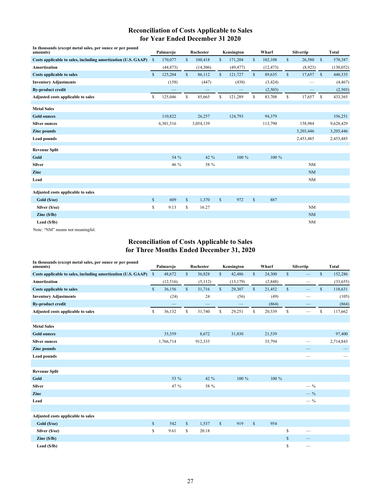## **Reconciliation of Costs Applicable to Sales for Year Ended December 31 2020**

| In thousands (except metal sales, per ounce or per pound<br>amounts) |               | Palmarejo |              | Rochester |              | Kensington |              | Wharf     | Silvertip    |           |              | <b>Total</b> |  |
|----------------------------------------------------------------------|---------------|-----------|--------------|-----------|--------------|------------|--------------|-----------|--------------|-----------|--------------|--------------|--|
| Costs applicable to sales, including amortization (U.S. GAAP)        | <sup>\$</sup> | 170,077   | $\mathbb{S}$ | 100,418   | $\mathbb{S}$ | 171,204    | $\mathbb{S}$ | 102,108   | $\mathbb{S}$ | 26,580    | $\mathbb{S}$ | 570,387      |  |
| Amortization                                                         |               | (44, 873) |              | (14,306)  |              | (49, 477)  |              | (12, 473) |              | (8,923)   |              | (130, 052)   |  |
| <b>Costs applicable to sales</b>                                     | $\mathbb{S}$  | 125,204   | $\mathbb{S}$ | 86,112    | $\mathbb{S}$ | 121,727    | $\mathbb{S}$ | 89,635    | \$           | 17,657    | $\mathbf{s}$ | 440,335      |  |
| <b>Inventory Adjustments</b>                                         |               | (158)     |              | (447)     |              | (438)      |              | (3, 424)  |              |           |              | (4, 467)     |  |
| <b>By-product credit</b>                                             |               |           |              |           |              |            |              | (2,503)   |              |           |              | (2,503)      |  |
| Adjusted costs applicable to sales                                   | \$            | 125,046   | \$           | 85,665    | \$           | 121,289    | \$           | 83,708    | \$           | 17,657    | \$           | 433,365      |  |
| <b>Metal Sales</b>                                                   |               |           |              |           |              |            |              |           |              |           |              |              |  |
| <b>Gold ounces</b>                                                   |               | 110,822   |              | 26,257    |              | 124,793    |              | 94,379    |              |           |              | 356,251      |  |
| <b>Silver ounces</b>                                                 |               | 6,301,516 |              | 3,054,139 |              |            |              | 113,790   |              | 158,984   |              | 9,628,429    |  |
| <b>Zinc</b> pounds                                                   |               |           |              |           |              |            |              |           |              | 3,203,446 |              | 3,203,446    |  |
| <b>Lead pounds</b>                                                   |               |           |              |           |              |            |              |           |              | 2,453,485 |              | 2,453,485    |  |
| <b>Revenue Split</b>                                                 |               |           |              |           |              |            |              |           |              |           |              |              |  |
| Gold                                                                 |               | 54 %      |              | 42 %      |              | 100 %      |              | 100 %     |              |           |              |              |  |
| <b>Silver</b>                                                        |               | 46 %      |              | 58 %      |              |            |              |           |              | NM        |              |              |  |
| Zinc                                                                 |               |           |              |           |              |            |              |           |              | <b>NM</b> |              |              |  |
| Lead                                                                 |               |           |              |           |              |            |              |           |              | NM        |              |              |  |
|                                                                      |               |           |              |           |              |            |              |           |              |           |              |              |  |
| Adjusted costs applicable to sales                                   |               |           |              |           |              |            |              |           |              |           |              |              |  |
| Gold(S/oz)                                                           | $\mathbb{S}$  | 609       | $\mathbb{S}$ | 1,370     | $\mathbb{S}$ | 972        | $\mathbb{S}$ | 887       |              |           |              |              |  |
| Silver (\$/oz)                                                       | \$            | 9.13      | \$           | 16.27     |              |            |              |           |              | NM        |              |              |  |
| $\text{Zinc}(\frac{\mathsf{S}}{\mathsf{I}})$                         |               |           |              |           |              |            |              |           |              | <b>NM</b> |              |              |  |
| Lead $(S/lb)$                                                        |               |           |              |           |              |            |              |           |              | NM        |              |              |  |

Note: "NM" means not meaningful.

## **Reconciliation of Costs Applicable to Sales for Three Months Ended December 31, 2020**

| In thousands (except metal sales, per ounce or per pound<br>amounts) | Palmarejo     |           |              | Rochester | Kensington   |           |              | Wharf   |              | Silvertip                      |              | <b>Total</b> |
|----------------------------------------------------------------------|---------------|-----------|--------------|-----------|--------------|-----------|--------------|---------|--------------|--------------------------------|--------------|--------------|
| Costs applicable to sales, including amortization (U.S. GAAP)        | $\mathbb{S}$  | 48,672    | $\mathbb{S}$ | 36,828    | \$           | 42,486    | $\mathbb{S}$ | 24,300  | \$           |                                | \$           | 152,286      |
| Amortization                                                         |               | (12, 516) |              | (5,112)   |              | (13, 179) |              | (2,848) |              |                                |              | (33, 655)    |
| Costs applicable to sales                                            | $\mathsf{\$}$ | 36,156    | $\mathbb{S}$ | 31,716    | $\mathbb{S}$ | 29,307    | $\mathbb{S}$ | 21,452  | $\mathbb{S}$ | $\qquad \qquad \longleftarrow$ | $\mathbb{S}$ | 118,631      |
| <b>Inventory Adjustments</b>                                         |               | (24)      |              | 24        |              | (56)      |              | (49)    |              | -                              |              | (105)        |
| <b>By-product credit</b>                                             |               |           |              |           |              |           |              | (864)   |              |                                |              | (864)        |
| Adjusted costs applicable to sales                                   | \$            | 36,132    | \$           | 31,740    | \$           | 29,251    | \$           | 20,539  | \$           |                                | \$           | 117,662      |
|                                                                      |               |           |              |           |              |           |              |         |              |                                |              |              |
| <b>Metal Sales</b>                                                   |               |           |              |           |              |           |              |         |              |                                |              |              |
| <b>Gold ounces</b>                                                   |               | 35,359    |              | 8,672     |              | 31,830    |              | 21,539  |              |                                |              | 97,400       |
| <b>Silver ounces</b>                                                 |               | 1,766,714 |              | 912,335   |              |           |              | 35,794  |              |                                |              | 2,714,843    |
| <b>Zinc</b> pounds                                                   |               |           |              |           |              |           |              |         |              |                                |              |              |
| <b>Lead pounds</b>                                                   |               |           |              |           |              |           |              |         |              |                                |              |              |
|                                                                      |               |           |              |           |              |           |              |         |              |                                |              |              |
| <b>Revenue Split</b>                                                 |               |           |              |           |              |           |              |         |              |                                |              |              |
| Gold                                                                 |               | 53 %      |              | 42 %      |              | 100 %     |              | 100 %   |              |                                |              |              |
| <b>Silver</b>                                                        |               | 47 %      |              | 58 %      |              |           |              |         |              | $-$ %                          |              |              |
| Zinc                                                                 |               |           |              |           |              |           |              |         |              | $-$ %                          |              |              |
| Lead                                                                 |               |           |              |           |              |           |              |         |              | $-$ %                          |              |              |
|                                                                      |               |           |              |           |              |           |              |         |              |                                |              |              |
| Adjusted costs applicable to sales                                   |               |           |              |           |              |           |              |         |              |                                |              |              |
| Gold(S/oz)                                                           | \$            | 542       | $\mathbb{S}$ | 1,537     | $\mathbb{S}$ | 919       | $\mathbb{S}$ | 954     |              |                                |              |              |
| Silver (\$/oz)                                                       | \$            | 9.61      | \$           | 20.18     |              |           |              |         | \$           | $\overline{\phantom{m}}$       |              |              |
| $\text{Zinc}(\frac{\mathsf{S}}{\mathsf{I}})$                         |               |           |              |           |              |           |              |         | \$           |                                |              |              |
| Lead $(S/lb)$                                                        |               |           |              |           |              |           |              |         | \$           | $\hspace{0.05cm}$              |              |              |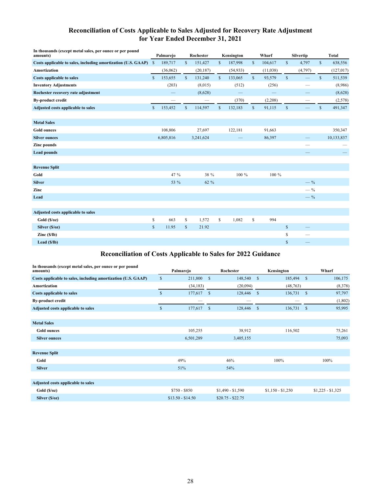### **Reconciliation of Costs Applicable to Sales Adjusted for Recovery Rate Adjustment for Year Ended December 31, 2021**

| In thousands (except metal sales, per ounce or per pound<br>amounts) | Palmarejo    |           |              | Rochester |              | Kensington                     |              | Wharf                    |              | Silvertip |              | <b>Total</b> |  |  |
|----------------------------------------------------------------------|--------------|-----------|--------------|-----------|--------------|--------------------------------|--------------|--------------------------|--------------|-----------|--------------|--------------|--|--|
| Costs applicable to sales, including amortization (U.S. GAAP)        | $\mathbb{S}$ | 189,717   | \$           | 151,427   | \$           | 187,998                        | $\mathbb{S}$ | 104,617                  | $\mathbb{S}$ | 4,797     | $\mathbb{S}$ | 638,556      |  |  |
| <b>Amortization</b>                                                  |              | (36,062)  |              | (20, 187) |              | (54, 933)                      |              | (11,038)                 |              | (4,797)   |              | (127, 017)   |  |  |
| <b>Costs applicable to sales</b>                                     | \$           | 153,655   | $\mathbb{S}$ | 131,240   | $\mathbb{S}$ | 133,065                        | $\mathbb{S}$ | 93,579                   | $\mathbb S$  |           | \$           | 511,539      |  |  |
| <b>Inventory Adjustments</b>                                         |              | (203)     |              | (8,015)   |              | (512)                          |              | (256)                    |              |           |              | (8,986)      |  |  |
| Rochester recovery rate adjustment                                   |              | —         |              | (8,628)   |              | $\qquad \qquad \longleftarrow$ |              | $\overline{\phantom{0}}$ |              | --        |              | (8,628)      |  |  |
| <b>By-product credit</b>                                             |              |           |              |           |              | (370)                          |              | (2,208)                  |              |           |              | (2,578)      |  |  |
| Adjusted costs applicable to sales                                   | $\mathbb{S}$ | 153,452   | $\mathbb{S}$ | 114,597   | $\mathbb{S}$ | 132,183                        | $\mathbb{S}$ | 91,115                   | $\mathbb{S}$ |           | $\mathbb{S}$ | 491,347      |  |  |
| <b>Metal Sales</b>                                                   |              |           |              |           |              |                                |              |                          |              |           |              |              |  |  |
| <b>Gold ounces</b>                                                   |              | 108,806   |              | 27,697    |              | 122,181                        |              | 91,663                   |              |           |              | 350,347      |  |  |
| <b>Silver ounces</b>                                                 |              | 6,805,816 |              | 3,241,624 |              |                                |              | 86,397                   |              |           |              | 10,133,837   |  |  |
| Zinc pounds                                                          |              |           |              |           |              |                                |              |                          |              |           |              |              |  |  |
| <b>Lead pounds</b>                                                   |              |           |              |           |              |                                |              |                          |              |           |              |              |  |  |
|                                                                      |              |           |              |           |              |                                |              |                          |              |           |              |              |  |  |
| <b>Revenue Split</b>                                                 |              |           |              |           |              |                                |              |                          |              |           |              |              |  |  |
| Gold                                                                 |              | 47 %      |              | 38 %      |              | 100 %                          |              | 100 %                    |              |           |              |              |  |  |
| <b>Silver</b>                                                        |              | 53 %      |              | 62 %      |              |                                |              |                          |              | $-$ %     |              |              |  |  |
| Zinc                                                                 |              |           |              |           |              |                                |              |                          |              | $-$ %     |              |              |  |  |
| Lead                                                                 |              |           |              |           |              |                                |              |                          |              | $-$ %     |              |              |  |  |
| Adjusted costs applicable to sales                                   |              |           |              |           |              |                                |              |                          |              |           |              |              |  |  |
| Gold(S/oz)                                                           | \$           | 663       | \$           | 1,572     | \$           | 1,082                          | \$           | 994                      |              |           |              |              |  |  |
| Silver $(S/oz)$                                                      | $\mathbb{S}$ | 11.95     | $\mathbb{S}$ | 21.92     |              |                                |              |                          | \$           | —         |              |              |  |  |
| $\text{Zinc}(\S/\text{lb})$                                          |              |           |              |           |              |                                |              |                          | \$           | —         |              |              |  |  |
| Lead $(S/lb)$                                                        |              |           |              |           |              |                                |              |                          | $\mathbb{S}$ |           |              |              |  |  |

## **Reconciliation of Costs Applicable to Sales for 2022 Guidance**

| In thousands (except metal sales, per ounce or per pound<br>amounts) |               | Palmarejo         |              | Rochester         |               | Kensington        |              | Wharf             |
|----------------------------------------------------------------------|---------------|-------------------|--------------|-------------------|---------------|-------------------|--------------|-------------------|
| Costs applicable to sales, including amortization (U.S. GAAP)        | $\mathbb{S}$  | 211,800           | $\mathbf{s}$ | 148,540           | <sup>\$</sup> | 185,494           | $\mathbb{S}$ | 106,175           |
| <b>Amortization</b>                                                  |               | (34, 183)         |              | (20,094)          |               | (48, 763)         |              | (8,378)           |
| Costs applicable to sales                                            | $\mathsf{\$}$ | 177,617           | $\mathbf{s}$ | 128,446           | <sup>\$</sup> | 136,731           | $\mathbb{S}$ | 97,797            |
| <b>By-product credit</b>                                             |               |                   |              |                   |               |                   |              | (1,802)           |
| Adjusted costs applicable to sales                                   | $\mathbb{S}$  | 177,617           | $\mathbf{s}$ | 128,446           | -S            | 136,731           | $\mathbb{S}$ | 95,995            |
|                                                                      |               |                   |              |                   |               |                   |              |                   |
| <b>Metal Sales</b>                                                   |               |                   |              |                   |               |                   |              |                   |
| <b>Gold ounces</b>                                                   |               | 105,255           |              | 38,912            |               | 116,502           |              | 75,261            |
| <b>Silver ounces</b>                                                 |               | 6,501,289         |              | 3,405,155         |               |                   |              | 75,093            |
|                                                                      |               |                   |              |                   |               |                   |              |                   |
| <b>Revenue Split</b>                                                 |               |                   |              |                   |               |                   |              |                   |
| Gold                                                                 |               | 49%               |              | 46%               |               | 100%              |              | 100%              |
| <b>Silver</b>                                                        |               | 51%               |              | 54%               |               |                   |              |                   |
|                                                                      |               |                   |              |                   |               |                   |              |                   |
| Adjusted costs applicable to sales                                   |               |                   |              |                   |               |                   |              |                   |
| Gold (S/oz)                                                          |               | $$750 - $850$     |              | $$1,490 - $1,590$ |               | $$1,150 - $1,250$ |              | $$1,225 - $1,325$ |
| Silver (\$/oz)                                                       |               | $$13.50 - $14.50$ |              | $$20.75 - $22.75$ |               |                   |              |                   |